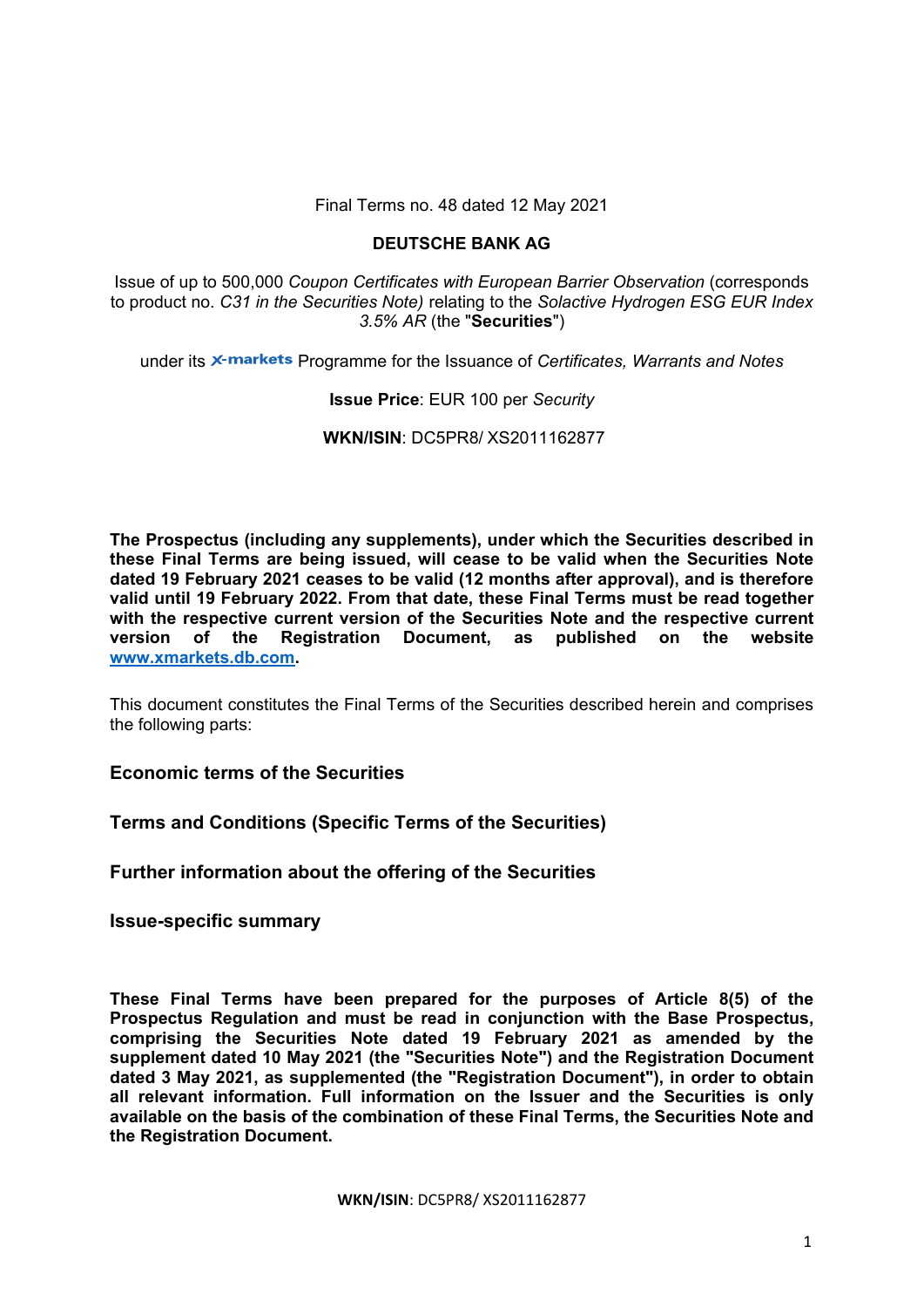Final Terms no. 48 dated 12 May 2021

# **DEUTSCHE BANK AG**

Issue of up to 500,000 *Coupon Certificates with European Barrier Observation* (corresponds to product no. *C31 in the Securities Note)* relating to the *Solactive Hydrogen ESG EUR Index 3.5% AR* (the "**Securities**")

under its X-markets Programme for the Issuance of *Certificates, Warrants and Notes* 

# **Issue Price**: EUR 100 per *Security*

**WKN/ISIN**: DC5PR8/ XS2011162877

**The Prospectus (including any supplements), under which the Securities described in these Final Terms are being issued, will cease to be valid when the Securities Note dated 19 February 2021 ceases to be valid (12 months after approval), and is therefore valid until 19 February 2022. From that date, these Final Terms must be read together with the respective current version of the Securities Note and the respective current version of the Registration Document, as published on the website www.xmarkets.db.com.** 

This document constitutes the Final Terms of the Securities described herein and comprises the following parts:

**Economic terms of the Securities**

**Terms and Conditions (Specific Terms of the Securities)**

**Further information about the offering of the Securities** 

**Issue-specific summary** 

**These Final Terms have been prepared for the purposes of Article 8(5) of the Prospectus Regulation and must be read in conjunction with the Base Prospectus, comprising the Securities Note dated 19 February 2021 as amended by the supplement dated 10 May 2021 (the "Securities Note") and the Registration Document dated 3 May 2021, as supplemented (the "Registration Document"), in order to obtain all relevant information. Full information on the Issuer and the Securities is only available on the basis of the combination of these Final Terms, the Securities Note and the Registration Document.**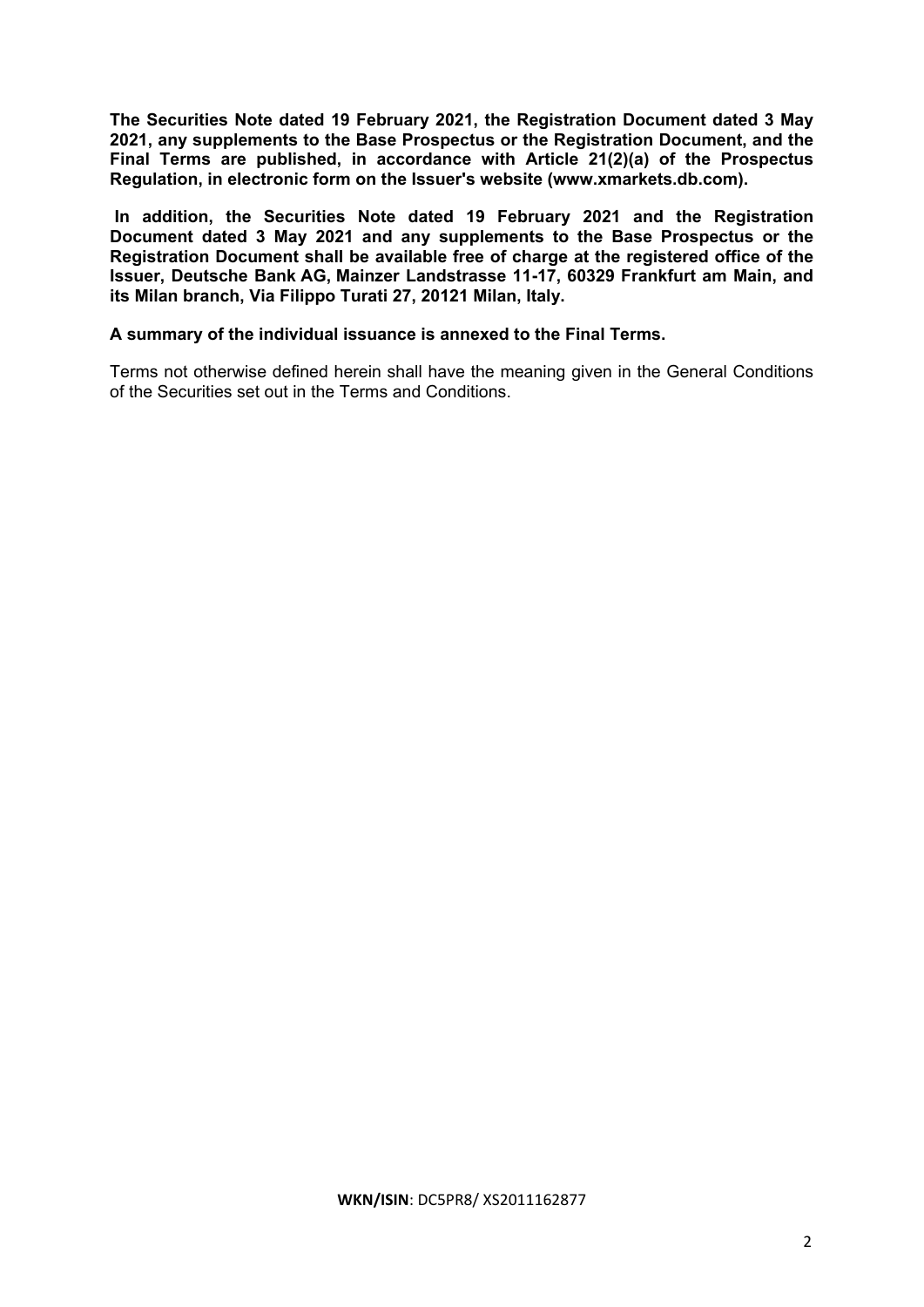**The Securities Note dated 19 February 2021, the Registration Document dated 3 May 2021, any supplements to the Base Prospectus or the Registration Document, and the Final Terms are published, in accordance with Article 21(2)(a) of the Prospectus Regulation, in electronic form on the Issuer's website (www.xmarkets.db.com).**

 **In addition, the Securities Note dated 19 February 2021 and the Registration Document dated 3 May 2021 and any supplements to the Base Prospectus or the Registration Document shall be available free of charge at the registered office of the Issuer, Deutsche Bank AG, Mainzer Landstrasse 11-17, 60329 Frankfurt am Main, and its Milan branch, Via Filippo Turati 27, 20121 Milan, Italy.** 

# **A summary of the individual issuance is annexed to the Final Terms.**

Terms not otherwise defined herein shall have the meaning given in the General Conditions of the Securities set out in the Terms and Conditions.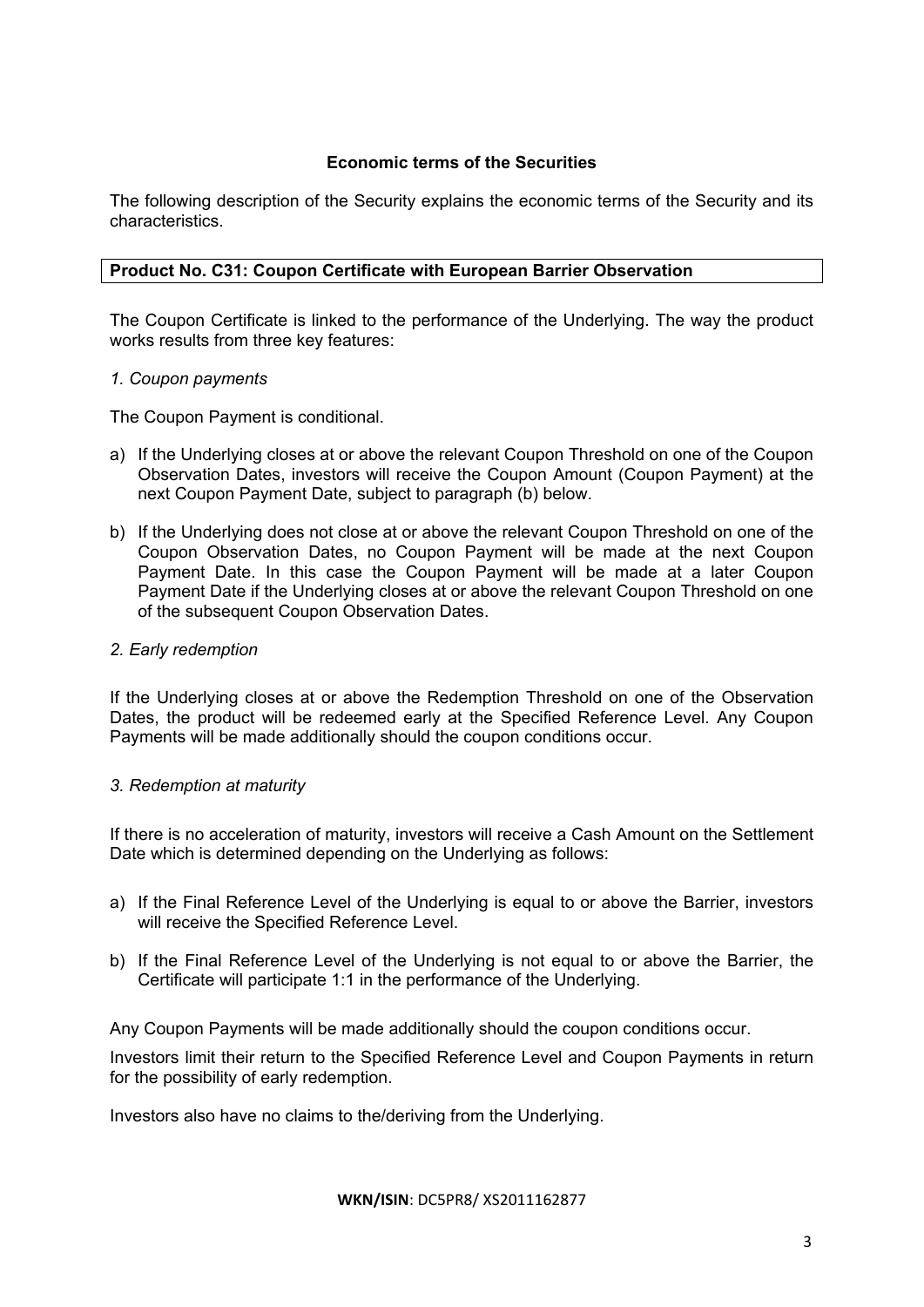# **Economic terms of the Securities**

The following description of the Security explains the economic terms of the Security and its characteristics.

# **Product No. C31: Coupon Certificate with European Barrier Observation**

The Coupon Certificate is linked to the performance of the Underlying. The way the product works results from three key features:

# *1. Coupon payments*

The Coupon Payment is conditional.

- a) If the Underlying closes at or above the relevant Coupon Threshold on one of the Coupon Observation Dates, investors will receive the Coupon Amount (Coupon Payment) at the next Coupon Payment Date, subject to paragraph (b) below.
- b) If the Underlying does not close at or above the relevant Coupon Threshold on one of the Coupon Observation Dates, no Coupon Payment will be made at the next Coupon Payment Date. In this case the Coupon Payment will be made at a later Coupon Payment Date if the Underlying closes at or above the relevant Coupon Threshold on one of the subsequent Coupon Observation Dates.

# *2. Early redemption*

If the Underlying closes at or above the Redemption Threshold on one of the Observation Dates, the product will be redeemed early at the Specified Reference Level. Any Coupon Payments will be made additionally should the coupon conditions occur.

# *3. Redemption at maturity*

If there is no acceleration of maturity, investors will receive a Cash Amount on the Settlement Date which is determined depending on the Underlying as follows:

- a) If the Final Reference Level of the Underlying is equal to or above the Barrier, investors will receive the Specified Reference Level.
- b) If the Final Reference Level of the Underlying is not equal to or above the Barrier, the Certificate will participate 1:1 in the performance of the Underlying.

Any Coupon Payments will be made additionally should the coupon conditions occur.

Investors limit their return to the Specified Reference Level and Coupon Payments in return for the possibility of early redemption.

Investors also have no claims to the/deriving from the Underlying.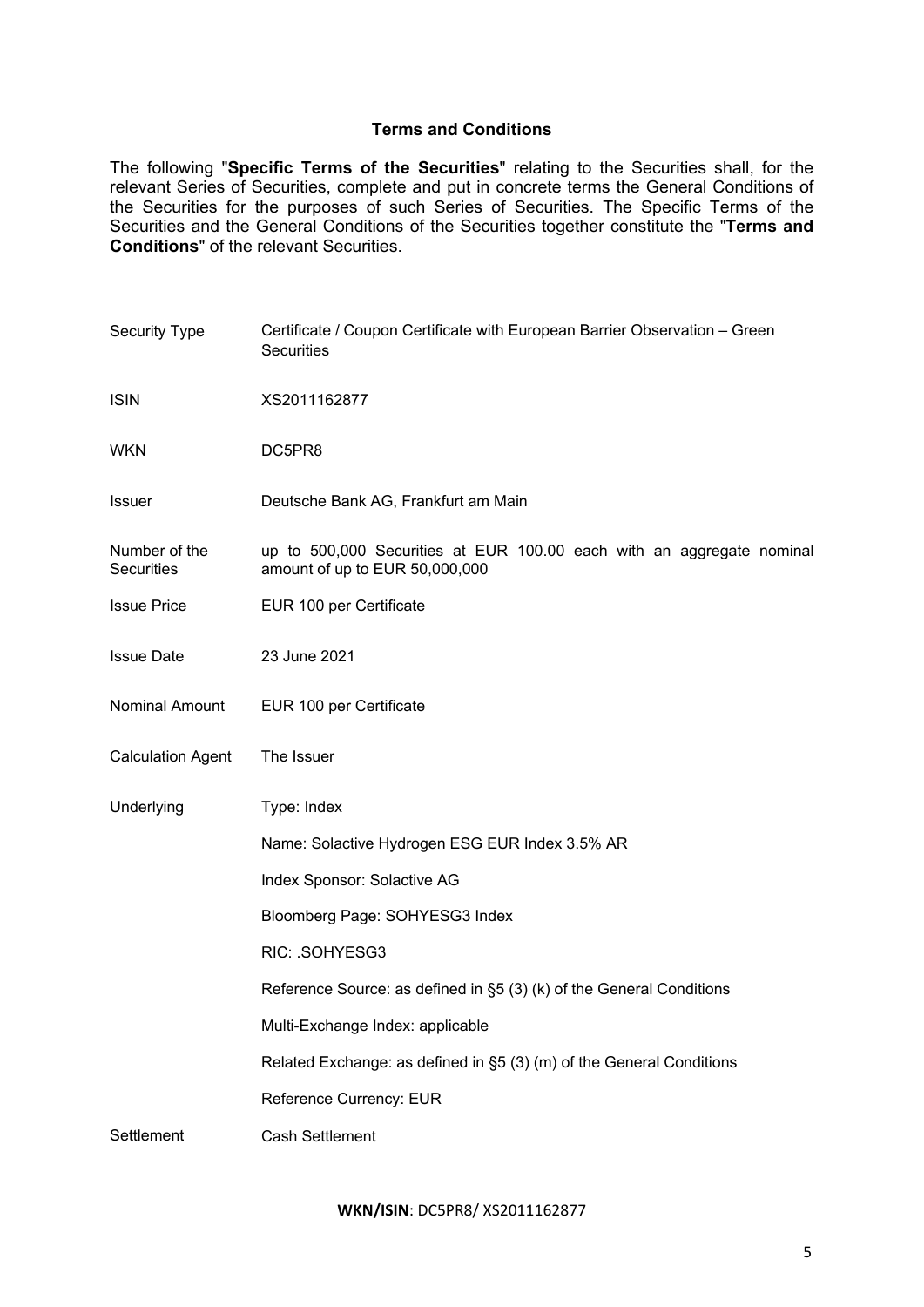# **Terms and Conditions**

The following "**Specific Terms of the Securities**" relating to the Securities shall, for the relevant Series of Securities, complete and put in concrete terms the General Conditions of the Securities for the purposes of such Series of Securities. The Specific Terms of the Securities and the General Conditions of the Securities together constitute the "**Terms and Conditions**" of the relevant Securities.

| <b>Security Type</b>               | Certificate / Coupon Certificate with European Barrier Observation - Green<br><b>Securities</b>         |  |  |
|------------------------------------|---------------------------------------------------------------------------------------------------------|--|--|
| <b>ISIN</b>                        | XS2011162877                                                                                            |  |  |
| <b>WKN</b>                         | DC5PR8                                                                                                  |  |  |
| <b>Issuer</b>                      | Deutsche Bank AG, Frankfurt am Main                                                                     |  |  |
| Number of the<br><b>Securities</b> | up to 500,000 Securities at EUR 100.00 each with an aggregate nominal<br>amount of up to EUR 50,000,000 |  |  |
| <b>Issue Price</b>                 | EUR 100 per Certificate                                                                                 |  |  |
| <b>Issue Date</b>                  | 23 June 2021                                                                                            |  |  |
| Nominal Amount                     | EUR 100 per Certificate                                                                                 |  |  |
| <b>Calculation Agent</b>           | The Issuer                                                                                              |  |  |
| Underlying                         | Type: Index                                                                                             |  |  |
|                                    | Name: Solactive Hydrogen ESG EUR Index 3.5% AR                                                          |  |  |
|                                    | Index Sponsor: Solactive AG                                                                             |  |  |
|                                    | Bloomberg Page: SOHYESG3 Index                                                                          |  |  |
|                                    | RIC: .SOHYESG3                                                                                          |  |  |
|                                    | Reference Source: as defined in §5 (3) (k) of the General Conditions                                    |  |  |
|                                    | Multi-Exchange Index: applicable                                                                        |  |  |
|                                    | Related Exchange: as defined in §5 (3) (m) of the General Conditions                                    |  |  |
|                                    | Reference Currency: EUR                                                                                 |  |  |
| Settlement                         | <b>Cash Settlement</b>                                                                                  |  |  |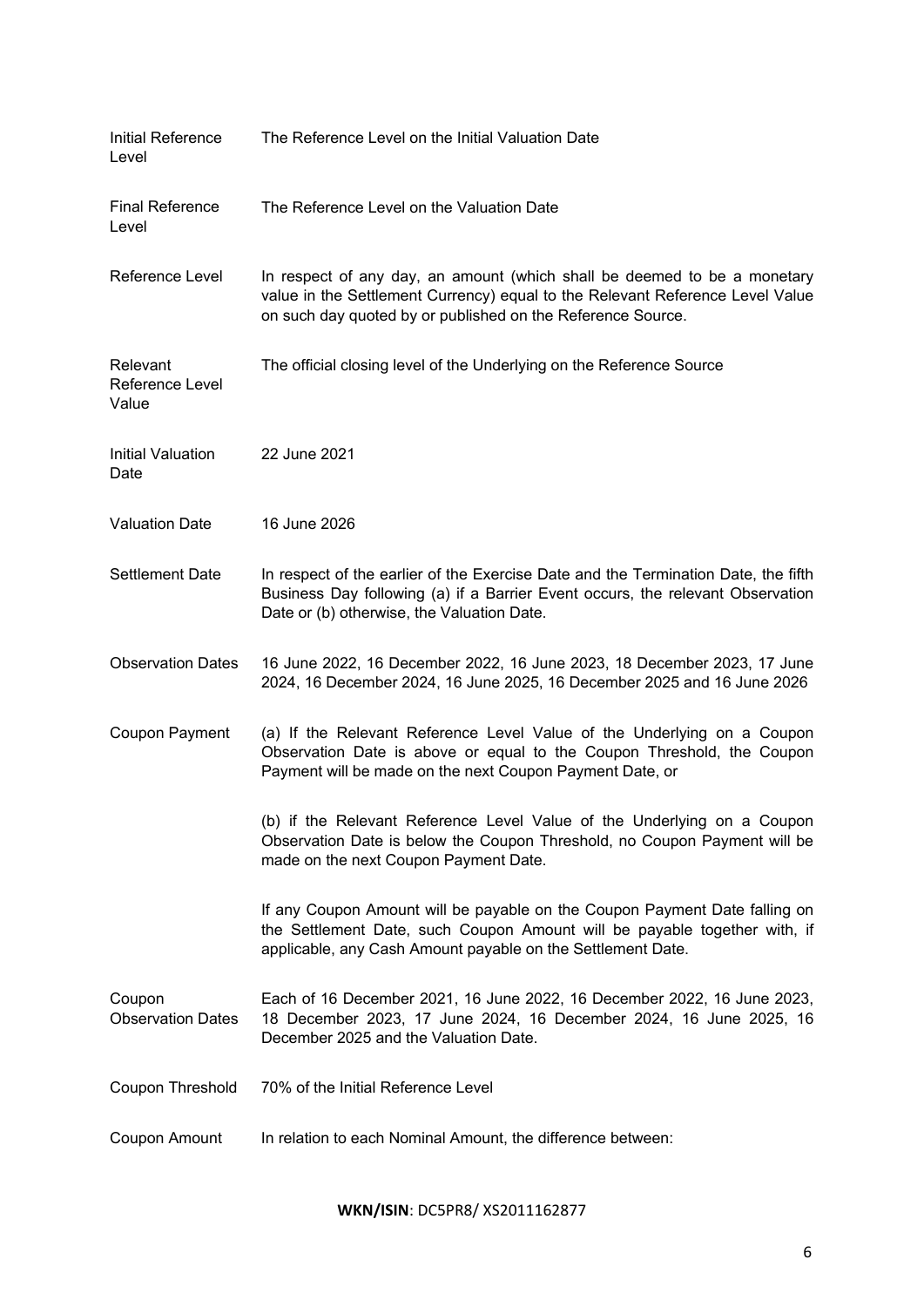| <b>Initial Reference</b><br>Level    | The Reference Level on the Initial Valuation Date                                                                                                                                                                        |
|--------------------------------------|--------------------------------------------------------------------------------------------------------------------------------------------------------------------------------------------------------------------------|
| <b>Final Reference</b><br>Level      | The Reference Level on the Valuation Date                                                                                                                                                                                |
| Reference Level                      | In respect of any day, an amount (which shall be deemed to be a monetary<br>value in the Settlement Currency) equal to the Relevant Reference Level Value<br>on such day quoted by or published on the Reference Source. |
| Relevant<br>Reference Level<br>Value | The official closing level of the Underlying on the Reference Source                                                                                                                                                     |
| Initial Valuation<br>Date            | 22 June 2021                                                                                                                                                                                                             |
| <b>Valuation Date</b>                | 16 June 2026                                                                                                                                                                                                             |
| Settlement Date                      | In respect of the earlier of the Exercise Date and the Termination Date, the fifth<br>Business Day following (a) if a Barrier Event occurs, the relevant Observation<br>Date or (b) otherwise, the Valuation Date.       |
| <b>Observation Dates</b>             | 16 June 2022, 16 December 2022, 16 June 2023, 18 December 2023, 17 June<br>2024, 16 December 2024, 16 June 2025, 16 December 2025 and 16 June 2026                                                                       |
| <b>Coupon Payment</b>                | (a) If the Relevant Reference Level Value of the Underlying on a Coupon<br>Observation Date is above or equal to the Coupon Threshold, the Coupon<br>Payment will be made on the next Coupon Payment Date, or            |
|                                      | (b) if the Relevant Reference Level Value of the Underlying on a Coupon<br>Observation Date is below the Coupon Threshold, no Coupon Payment will be<br>made on the next Coupon Payment Date.                            |
|                                      | If any Coupon Amount will be payable on the Coupon Payment Date falling on<br>the Settlement Date, such Coupon Amount will be payable together with, if<br>applicable, any Cash Amount payable on the Settlement Date.   |
| Coupon<br><b>Observation Dates</b>   | Each of 16 December 2021, 16 June 2022, 16 December 2022, 16 June 2023,<br>18 December 2023, 17 June 2024, 16 December 2024, 16 June 2025, 16<br>December 2025 and the Valuation Date.                                   |
| Coupon Threshold                     | 70% of the Initial Reference Level                                                                                                                                                                                       |
| Coupon Amount                        | In relation to each Nominal Amount, the difference between:                                                                                                                                                              |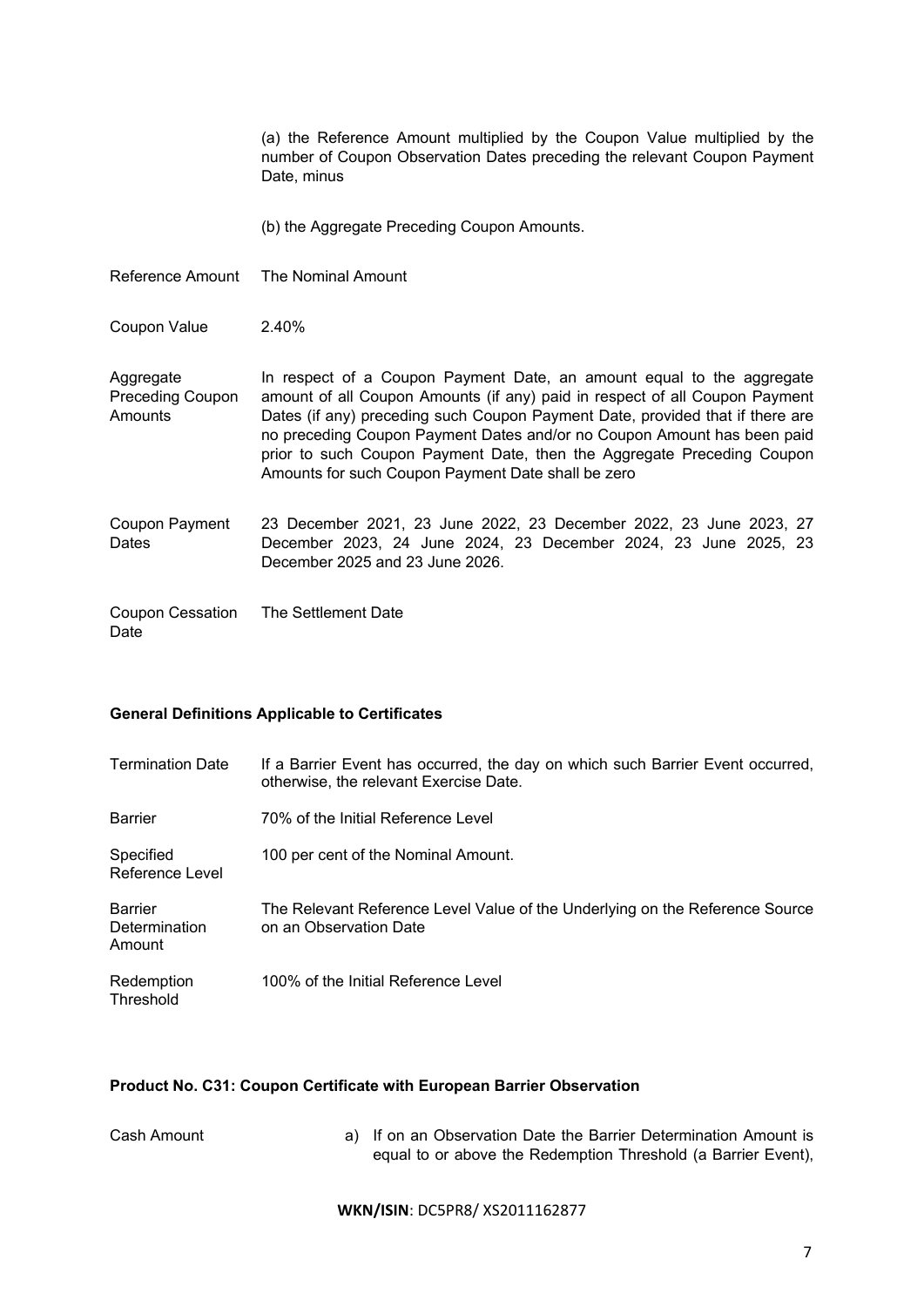|                                                 | (a) the Reference Amount multiplied by the Coupon Value multiplied by the<br>number of Coupon Observation Dates preceding the relevant Coupon Payment<br>Date, minus                                                                                                                                                                                                                                                                             |
|-------------------------------------------------|--------------------------------------------------------------------------------------------------------------------------------------------------------------------------------------------------------------------------------------------------------------------------------------------------------------------------------------------------------------------------------------------------------------------------------------------------|
|                                                 | (b) the Aggregate Preceding Coupon Amounts.                                                                                                                                                                                                                                                                                                                                                                                                      |
| Reference Amount                                | The Nominal Amount                                                                                                                                                                                                                                                                                                                                                                                                                               |
| Coupon Value                                    | 2.40%                                                                                                                                                                                                                                                                                                                                                                                                                                            |
| Aggregate<br><b>Preceding Coupon</b><br>Amounts | In respect of a Coupon Payment Date, an amount equal to the aggregate<br>amount of all Coupon Amounts (if any) paid in respect of all Coupon Payment<br>Dates (if any) preceding such Coupon Payment Date, provided that if there are<br>no preceding Coupon Payment Dates and/or no Coupon Amount has been paid<br>prior to such Coupon Payment Date, then the Aggregate Preceding Coupon<br>Amounts for such Coupon Payment Date shall be zero |
| Coupon Payment<br>Dates                         | 23 December 2021, 23 June 2022, 23 December 2022, 23 June 2023, 27<br>December 2023, 24 June 2024, 23 December 2024, 23 June 2025, 23<br>December 2025 and 23 June 2026.                                                                                                                                                                                                                                                                         |
| Coupon Cessation<br>Date                        | The Settlement Date                                                                                                                                                                                                                                                                                                                                                                                                                              |

# **General Definitions Applicable to Certificates**

| <b>Termination Date</b>                   | If a Barrier Event has occurred, the day on which such Barrier Event occurred,<br>otherwise, the relevant Exercise Date. |
|-------------------------------------------|--------------------------------------------------------------------------------------------------------------------------|
| <b>Barrier</b>                            | 70% of the Initial Reference Level                                                                                       |
| Specified<br>Reference Level              | 100 per cent of the Nominal Amount.                                                                                      |
| <b>Barrier</b><br>Determination<br>Amount | The Relevant Reference Level Value of the Underlying on the Reference Source<br>on an Observation Date                   |
| Redemption<br>Threshold                   | 100% of the Initial Reference Level                                                                                      |

# **Product No. C31: Coupon Certificate with European Barrier Observation**

| Cash Amount | a) If on an Observation Date the Barrier Determination Amount is |
|-------------|------------------------------------------------------------------|
|             | equal to or above the Redemption Threshold (a Barrier Event),    |
|             |                                                                  |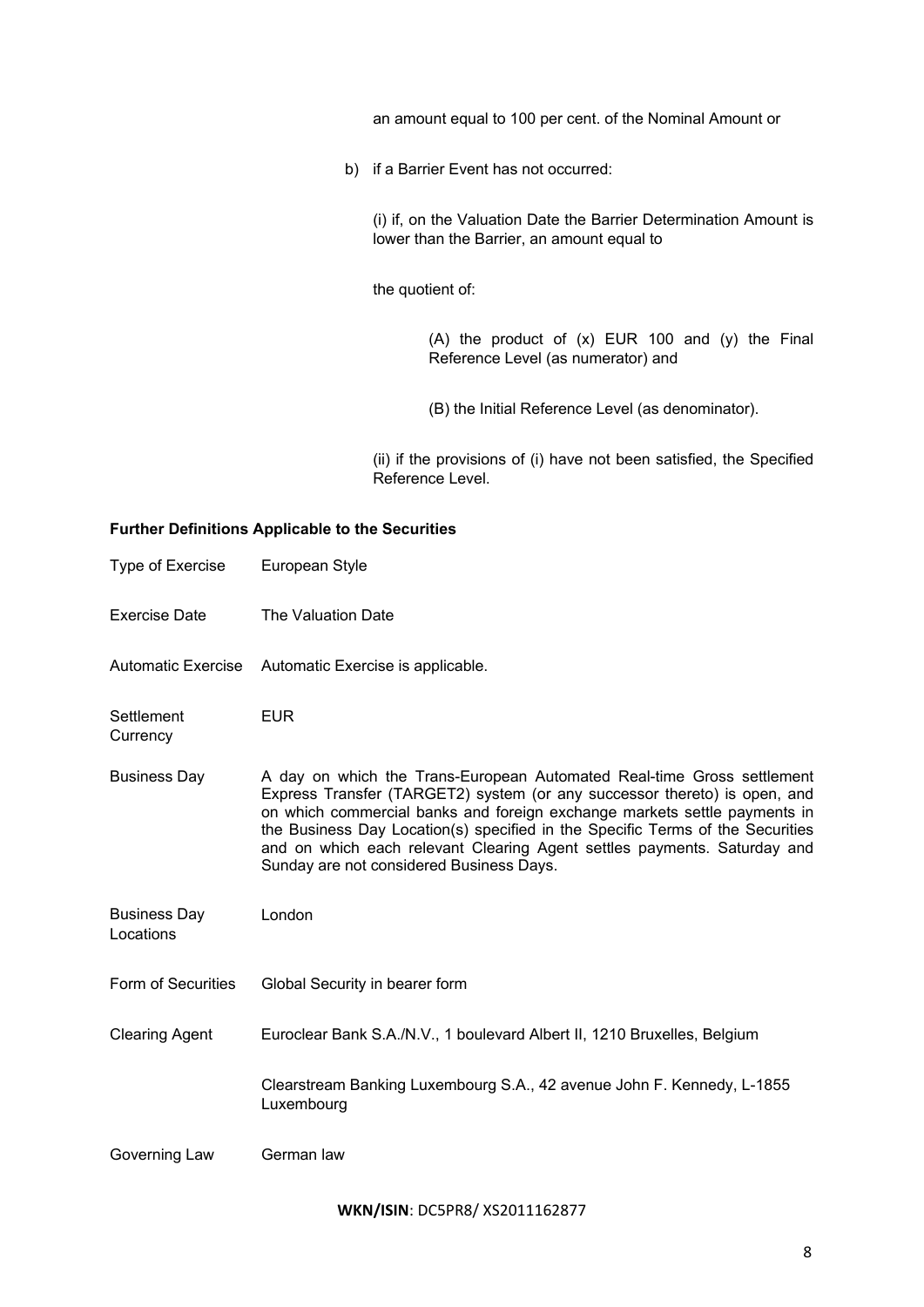an amount equal to 100 per cent. of the Nominal Amount or

b) if a Barrier Event has not occurred:

(i) if, on the Valuation Date the Barrier Determination Amount is lower than the Barrier, an amount equal to

the quotient of:

(A) the product of (x) EUR 100 and (y) the Final Reference Level (as numerator) and

(B) the Initial Reference Level (as denominator).

(ii) if the provisions of (i) have not been satisfied, the Specified Reference Level.

# **Further Definitions Applicable to the Securities**

| <b>Type of Exercise</b>          | European Style                                                                                                                                                                                                                                                                                                                                                                                                                             |
|----------------------------------|--------------------------------------------------------------------------------------------------------------------------------------------------------------------------------------------------------------------------------------------------------------------------------------------------------------------------------------------------------------------------------------------------------------------------------------------|
| Exercise Date                    | The Valuation Date                                                                                                                                                                                                                                                                                                                                                                                                                         |
| Automatic Exercise               | Automatic Exercise is applicable.                                                                                                                                                                                                                                                                                                                                                                                                          |
| Settlement<br>Currency           | <b>EUR</b>                                                                                                                                                                                                                                                                                                                                                                                                                                 |
| <b>Business Day</b>              | A day on which the Trans-European Automated Real-time Gross settlement<br>Express Transfer (TARGET2) system (or any successor thereto) is open, and<br>on which commercial banks and foreign exchange markets settle payments in<br>the Business Day Location(s) specified in the Specific Terms of the Securities<br>and on which each relevant Clearing Agent settles payments. Saturday and<br>Sunday are not considered Business Days. |
| <b>Business Day</b><br>Locations | London                                                                                                                                                                                                                                                                                                                                                                                                                                     |
| Form of Securities               | Global Security in bearer form                                                                                                                                                                                                                                                                                                                                                                                                             |
| <b>Clearing Agent</b>            | Euroclear Bank S.A./N.V., 1 boulevard Albert II, 1210 Bruxelles, Belgium                                                                                                                                                                                                                                                                                                                                                                   |
|                                  | Clearstream Banking Luxembourg S.A., 42 avenue John F. Kennedy, L-1855<br>Luxembourg                                                                                                                                                                                                                                                                                                                                                       |
| Governing Law                    | German law                                                                                                                                                                                                                                                                                                                                                                                                                                 |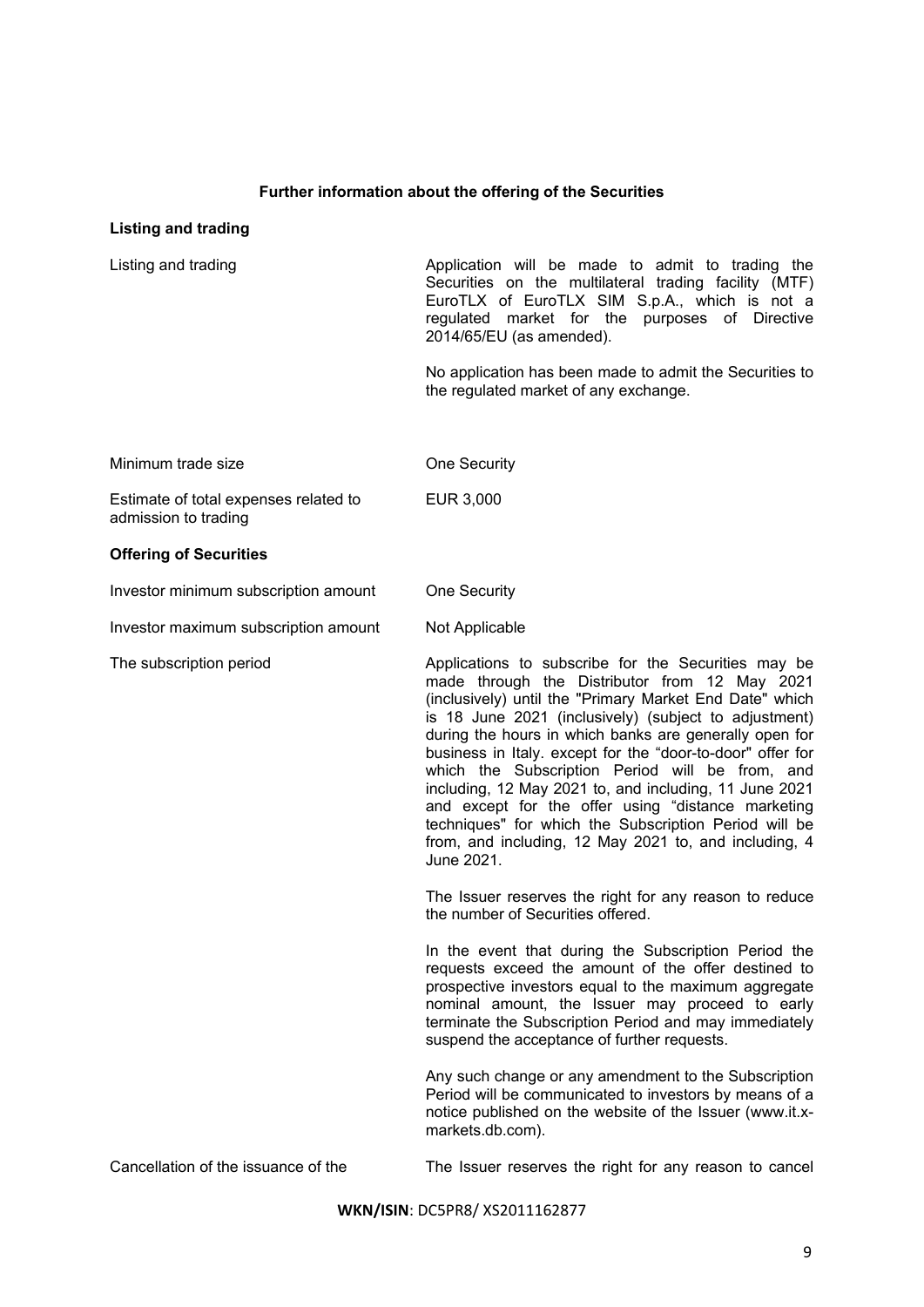# **Further information about the offering of the Securities**

# **Listing and trading**

| Listing and trading                                           | Application will be made to admit to trading the<br>Securities on the multilateral trading facility (MTF)<br>EuroTLX of EuroTLX SIM S.p.A., which is not a<br>regulated market for the purposes of Directive<br>2014/65/EU (as amended).                                                                                                                                                                                                                                                                                                                                                                                                            |
|---------------------------------------------------------------|-----------------------------------------------------------------------------------------------------------------------------------------------------------------------------------------------------------------------------------------------------------------------------------------------------------------------------------------------------------------------------------------------------------------------------------------------------------------------------------------------------------------------------------------------------------------------------------------------------------------------------------------------------|
|                                                               | No application has been made to admit the Securities to<br>the regulated market of any exchange.                                                                                                                                                                                                                                                                                                                                                                                                                                                                                                                                                    |
| Minimum trade size                                            | One Security                                                                                                                                                                                                                                                                                                                                                                                                                                                                                                                                                                                                                                        |
| Estimate of total expenses related to<br>admission to trading | EUR 3,000                                                                                                                                                                                                                                                                                                                                                                                                                                                                                                                                                                                                                                           |
| <b>Offering of Securities</b>                                 |                                                                                                                                                                                                                                                                                                                                                                                                                                                                                                                                                                                                                                                     |
| Investor minimum subscription amount                          | One Security                                                                                                                                                                                                                                                                                                                                                                                                                                                                                                                                                                                                                                        |
| Investor maximum subscription amount                          | Not Applicable                                                                                                                                                                                                                                                                                                                                                                                                                                                                                                                                                                                                                                      |
| The subscription period                                       | Applications to subscribe for the Securities may be<br>made through the Distributor from 12 May 2021<br>(inclusively) until the "Primary Market End Date" which<br>is 18 June 2021 (inclusively) (subject to adjustment)<br>during the hours in which banks are generally open for<br>business in Italy. except for the "door-to-door" offer for<br>which the Subscription Period will be from, and<br>including, 12 May 2021 to, and including, 11 June 2021<br>and except for the offer using "distance marketing<br>techniques" for which the Subscription Period will be<br>from, and including, 12 May 2021 to, and including, 4<br>June 2021. |
|                                                               | The Issuer reserves the right for any reason to reduce<br>the number of Securities offered.                                                                                                                                                                                                                                                                                                                                                                                                                                                                                                                                                         |
|                                                               | In the event that during the Subscription Period the<br>requests exceed the amount of the offer destined to<br>prospective investors equal to the maximum aggregate<br>nominal amount, the Issuer may proceed to early<br>terminate the Subscription Period and may immediately<br>suspend the acceptance of further requests.                                                                                                                                                                                                                                                                                                                      |
|                                                               | Any such change or any amendment to the Subscription<br>Period will be communicated to investors by means of a<br>notice published on the website of the Issuer (www.it.x-<br>markets.db.com).                                                                                                                                                                                                                                                                                                                                                                                                                                                      |
| Cancellation of the issuance of the                           | The Issuer reserves the right for any reason to cancel                                                                                                                                                                                                                                                                                                                                                                                                                                                                                                                                                                                              |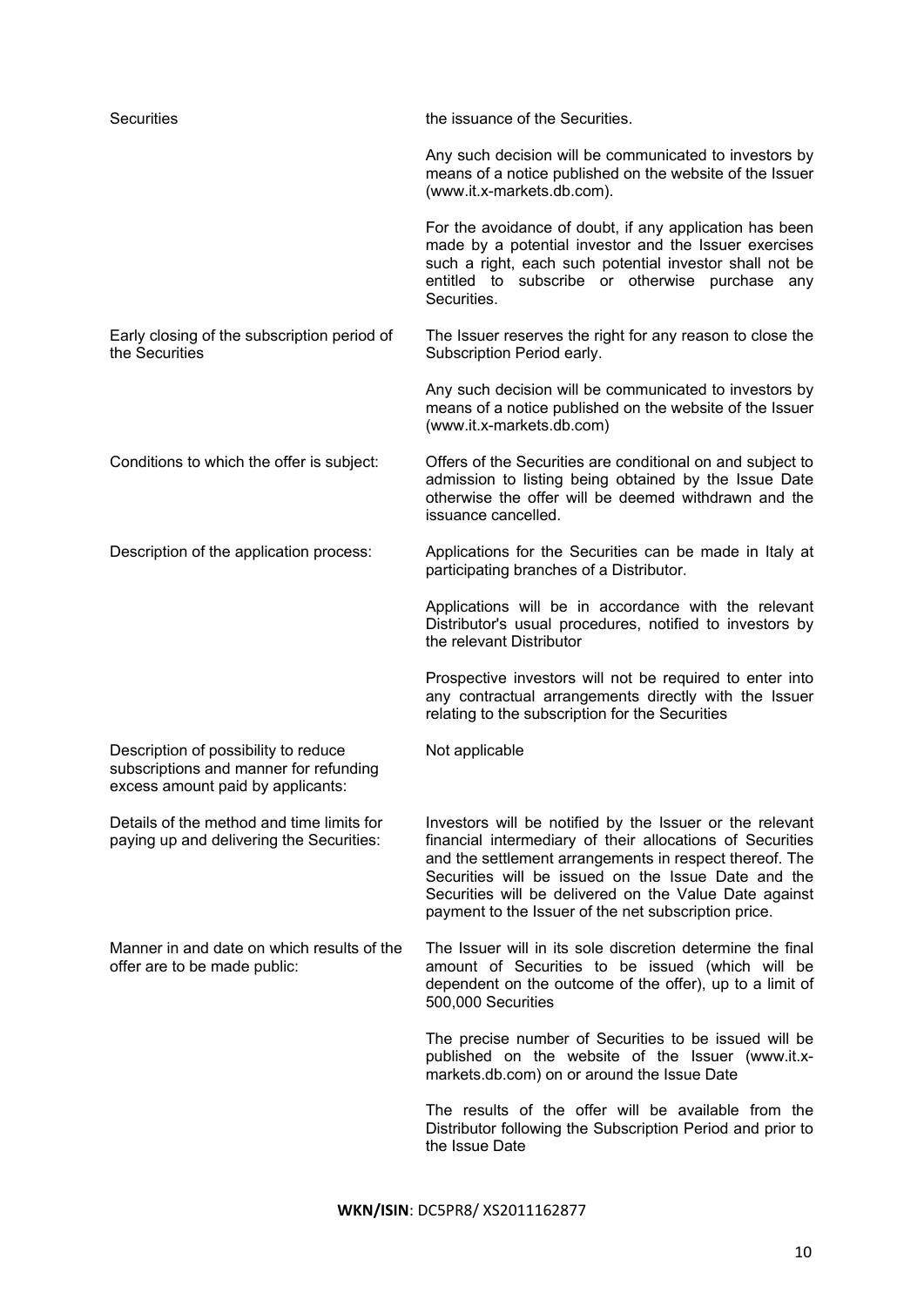| <b>Securities</b>                                                                                                   | the issuance of the Securities.                                                                                                                                                                                                                                                                                                                           |
|---------------------------------------------------------------------------------------------------------------------|-----------------------------------------------------------------------------------------------------------------------------------------------------------------------------------------------------------------------------------------------------------------------------------------------------------------------------------------------------------|
|                                                                                                                     | Any such decision will be communicated to investors by<br>means of a notice published on the website of the Issuer<br>(www.it.x-markets.db.com).                                                                                                                                                                                                          |
|                                                                                                                     | For the avoidance of doubt, if any application has been<br>made by a potential investor and the Issuer exercises<br>such a right, each such potential investor shall not be<br>entitled to subscribe or otherwise purchase<br>any<br>Securities.                                                                                                          |
| Early closing of the subscription period of<br>the Securities                                                       | The Issuer reserves the right for any reason to close the<br>Subscription Period early.                                                                                                                                                                                                                                                                   |
|                                                                                                                     | Any such decision will be communicated to investors by<br>means of a notice published on the website of the Issuer<br>(www.it.x-markets.db.com)                                                                                                                                                                                                           |
| Conditions to which the offer is subject:                                                                           | Offers of the Securities are conditional on and subject to<br>admission to listing being obtained by the Issue Date<br>otherwise the offer will be deemed withdrawn and the<br>issuance cancelled.                                                                                                                                                        |
| Description of the application process:                                                                             | Applications for the Securities can be made in Italy at<br>participating branches of a Distributor.                                                                                                                                                                                                                                                       |
|                                                                                                                     | Applications will be in accordance with the relevant<br>Distributor's usual procedures, notified to investors by<br>the relevant Distributor                                                                                                                                                                                                              |
|                                                                                                                     | Prospective investors will not be required to enter into<br>any contractual arrangements directly with the Issuer<br>relating to the subscription for the Securities                                                                                                                                                                                      |
| Description of possibility to reduce<br>subscriptions and manner for refunding<br>excess amount paid by applicants: | Not applicable                                                                                                                                                                                                                                                                                                                                            |
| Details of the method and time limits for<br>paying up and delivering the Securities:                               | Investors will be notified by the Issuer or the relevant<br>financial intermediary of their allocations of Securities<br>and the settlement arrangements in respect thereof. The<br>Securities will be issued on the Issue Date and the<br>Securities will be delivered on the Value Date against<br>payment to the Issuer of the net subscription price. |
| Manner in and date on which results of the<br>offer are to be made public:                                          | The Issuer will in its sole discretion determine the final<br>amount of Securities to be issued (which will be<br>dependent on the outcome of the offer), up to a limit of<br>500,000 Securities                                                                                                                                                          |
|                                                                                                                     | The precise number of Securities to be issued will be<br>published on the website of the Issuer (www.it.x-<br>markets.db.com) on or around the Issue Date                                                                                                                                                                                                 |
|                                                                                                                     | The results of the offer will be available from the<br>Distributor following the Subscription Period and prior to<br>the Issue Date                                                                                                                                                                                                                       |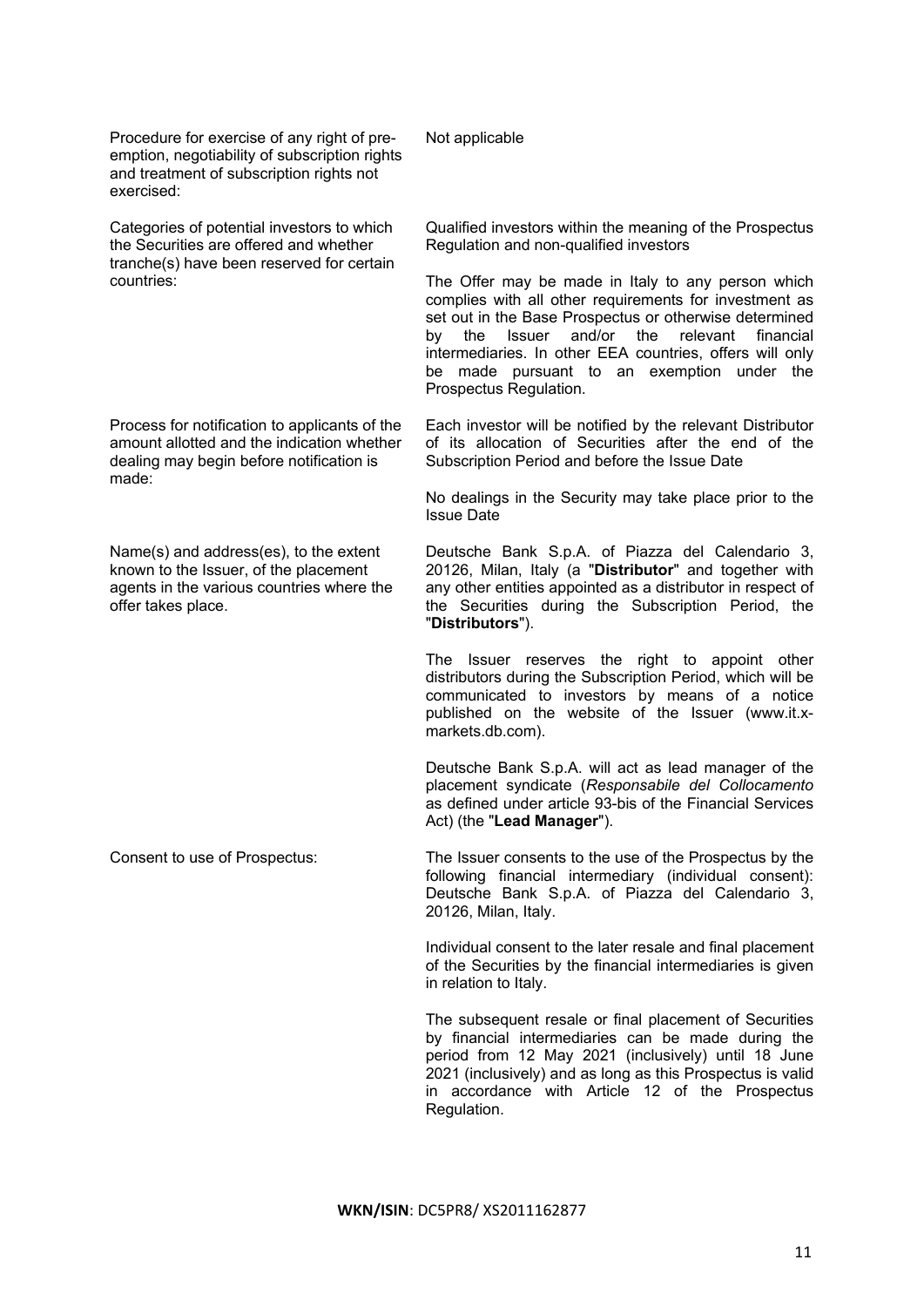Procedure for exercise of any right of preemption, negotiability of subscription rights and treatment of subscription rights not exercised:

Categories of potential investors to which the Securities are offered and whether tranche(s) have been reserved for certain countries:

Process for notification to applicants of the amount allotted and the indication whether dealing may begin before notification is made:

Name(s) and address(es), to the extent known to the Issuer, of the placement agents in the various countries where the offer takes place.

Not applicable

Qualified investors within the meaning of the Prospectus Regulation and non-qualified investors

The Offer may be made in Italy to any person which complies with all other requirements for investment as set out in the Base Prospectus or otherwise determined by the Issuer and/or the relevant financial intermediaries. In other EEA countries, offers will only be made pursuant to an exemption under the Prospectus Regulation.

Each investor will be notified by the relevant Distributor of its allocation of Securities after the end of the Subscription Period and before the Issue Date

No dealings in the Security may take place prior to the Issue Date

Deutsche Bank S.p.A. of Piazza del Calendario 3, 20126, Milan, Italy (a "**Distributor**" and together with any other entities appointed as a distributor in respect of the Securities during the Subscription Period, the "**Distributors**").

The Issuer reserves the right to appoint other distributors during the Subscription Period, which will be communicated to investors by means of a notice published on the website of the Issuer (www.it.xmarkets.db.com).

Deutsche Bank S.p.A. will act as lead manager of the placement syndicate (*Responsabile del Collocamento*  as defined under article 93-bis of the Financial Services Act) (the "**Lead Manager**").

Consent to use of Prospectus: The Issuer consents to the use of the Prospectus by the following financial intermediary (individual consent): Deutsche Bank S.p.A. of Piazza del Calendario 3, 20126, Milan, Italy.

> Individual consent to the later resale and final placement of the Securities by the financial intermediaries is given in relation to Italy.

> The subsequent resale or final placement of Securities by financial intermediaries can be made during the period from 12 May 2021 (inclusively) until 18 June 2021 (inclusively) and as long as this Prospectus is valid in accordance with Article 12 of the Prospectus Regulation.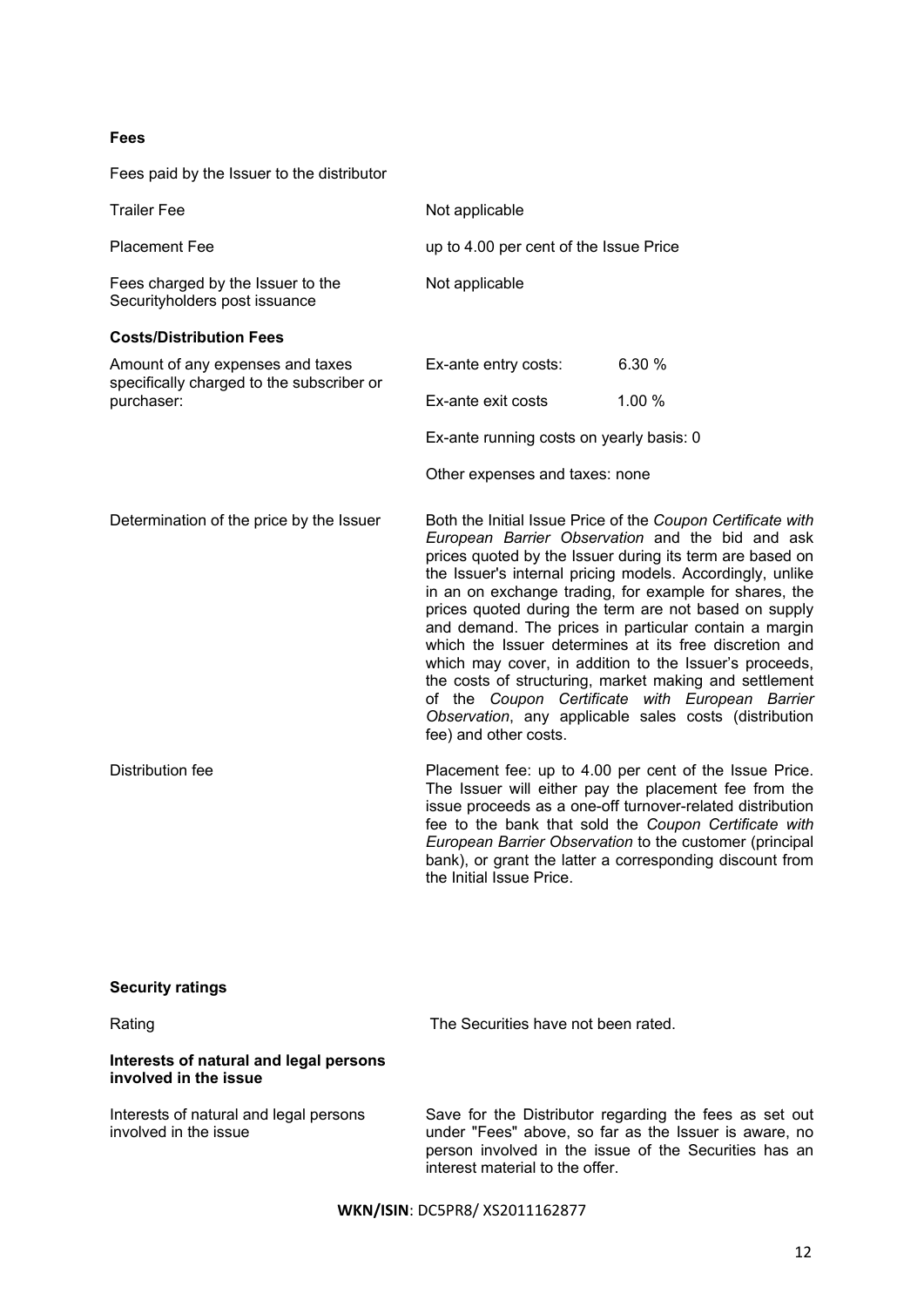# **Fees**

| Fees paid by the Issuer to the distributor                                    |                                          |                                                                                                                                                                                                                                                                                                                                                                                                                                                                                                                                                                                                                                                                                                                |  |
|-------------------------------------------------------------------------------|------------------------------------------|----------------------------------------------------------------------------------------------------------------------------------------------------------------------------------------------------------------------------------------------------------------------------------------------------------------------------------------------------------------------------------------------------------------------------------------------------------------------------------------------------------------------------------------------------------------------------------------------------------------------------------------------------------------------------------------------------------------|--|
| <b>Trailer Fee</b>                                                            | Not applicable                           |                                                                                                                                                                                                                                                                                                                                                                                                                                                                                                                                                                                                                                                                                                                |  |
| <b>Placement Fee</b>                                                          | up to 4.00 per cent of the Issue Price   |                                                                                                                                                                                                                                                                                                                                                                                                                                                                                                                                                                                                                                                                                                                |  |
| Fees charged by the Issuer to the<br>Securityholders post issuance            | Not applicable                           |                                                                                                                                                                                                                                                                                                                                                                                                                                                                                                                                                                                                                                                                                                                |  |
| <b>Costs/Distribution Fees</b>                                                |                                          |                                                                                                                                                                                                                                                                                                                                                                                                                                                                                                                                                                                                                                                                                                                |  |
| Amount of any expenses and taxes<br>specifically charged to the subscriber or | Ex-ante entry costs:                     | 6.30 %                                                                                                                                                                                                                                                                                                                                                                                                                                                                                                                                                                                                                                                                                                         |  |
| purchaser:                                                                    | Ex-ante exit costs                       | 1.00 %                                                                                                                                                                                                                                                                                                                                                                                                                                                                                                                                                                                                                                                                                                         |  |
|                                                                               | Ex-ante running costs on yearly basis: 0 |                                                                                                                                                                                                                                                                                                                                                                                                                                                                                                                                                                                                                                                                                                                |  |
|                                                                               | Other expenses and taxes: none           |                                                                                                                                                                                                                                                                                                                                                                                                                                                                                                                                                                                                                                                                                                                |  |
| Determination of the price by the Issuer                                      | fee) and other costs.                    | Both the Initial Issue Price of the Coupon Certificate with<br>European Barrier Observation and the bid and ask<br>prices quoted by the Issuer during its term are based on<br>the Issuer's internal pricing models. Accordingly, unlike<br>in an on exchange trading, for example for shares, the<br>prices quoted during the term are not based on supply<br>and demand. The prices in particular contain a margin<br>which the Issuer determines at its free discretion and<br>which may cover, in addition to the Issuer's proceeds,<br>the costs of structuring, market making and settlement<br>of the Coupon Certificate with European Barrier<br>Observation, any applicable sales costs (distribution |  |
| Distribution fee                                                              | the Initial Issue Price.                 | Placement fee: up to 4.00 per cent of the Issue Price.<br>The Issuer will either pay the placement fee from the<br>issue proceeds as a one-off turnover-related distribution<br>fee to the bank that sold the Coupon Certificate with<br>European Barrier Observation to the customer (principal<br>bank), or grant the latter a corresponding discount from                                                                                                                                                                                                                                                                                                                                                   |  |
| <b>Security ratings</b>                                                       |                                          |                                                                                                                                                                                                                                                                                                                                                                                                                                                                                                                                                                                                                                                                                                                |  |
| Rating                                                                        | The Securities have not been rated.      |                                                                                                                                                                                                                                                                                                                                                                                                                                                                                                                                                                                                                                                                                                                |  |
| Interests of natural and legal persons<br>involved in the issue               |                                          |                                                                                                                                                                                                                                                                                                                                                                                                                                                                                                                                                                                                                                                                                                                |  |
| Interests of natural and legal persons<br>involved in the issue               |                                          | Save for the Distributor regarding the fees as set out<br>under "Fees" above, so far as the Issuer is aware, no<br>person involved in the issue of the Securities has an                                                                                                                                                                                                                                                                                                                                                                                                                                                                                                                                       |  |

**WKN/ISIN**: DC5PR8/ XS2011162877

interest material to the offer.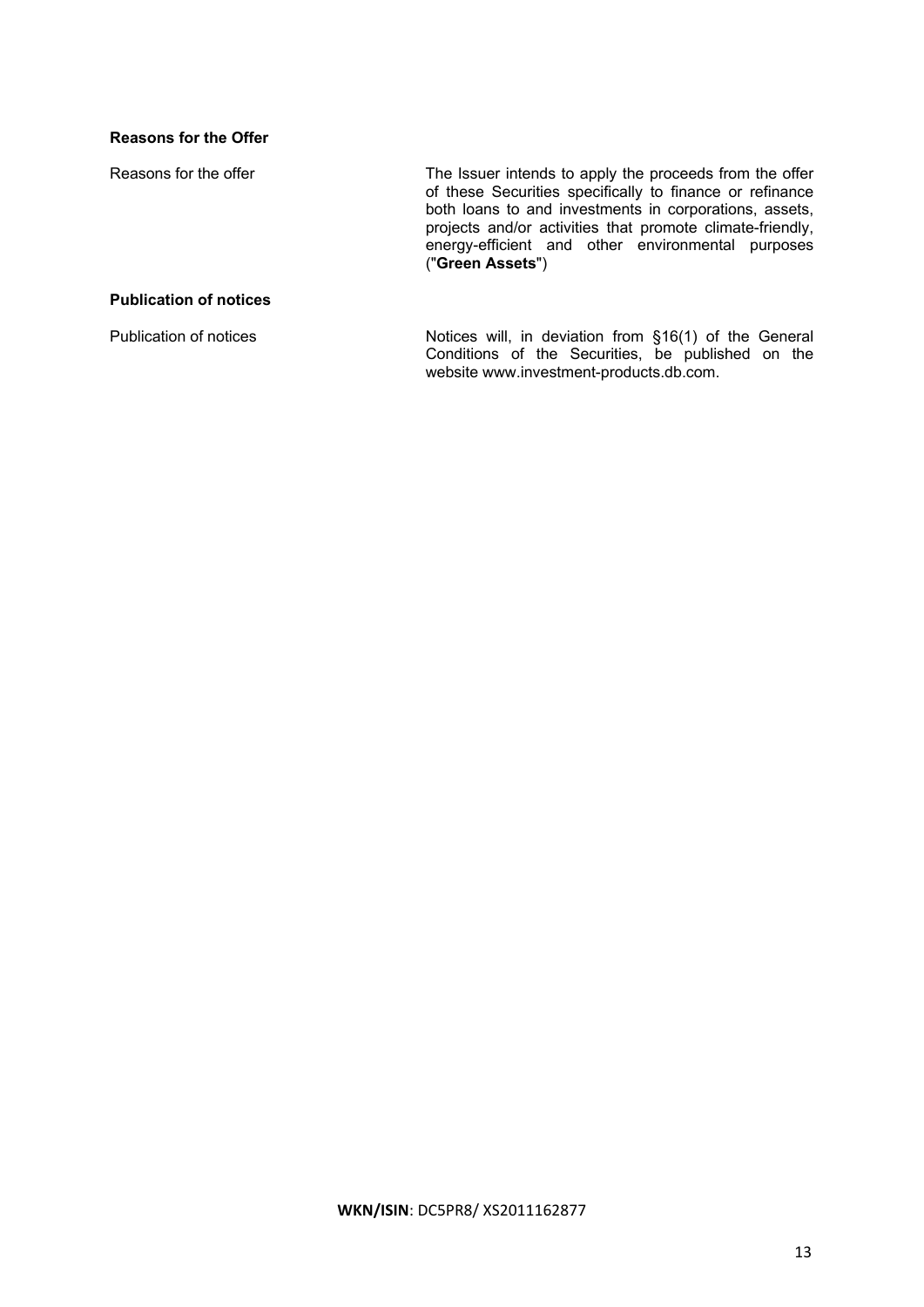# **Reasons for the Offer**

Reasons for the offer The Issuer intends to apply the proceeds from the offer of these Securities specifically to finance or refinance both loans to and investments in corporations, assets, projects and/or activities that promote climate-friendly, energy-efficient and other environmental purposes ("**Green Assets**")

# **Publication of notices**

Publication of notices **Notices** Notices will, in deviation from §16(1) of the General Conditions of the Securities, be published on the website www.investment-products.db.com.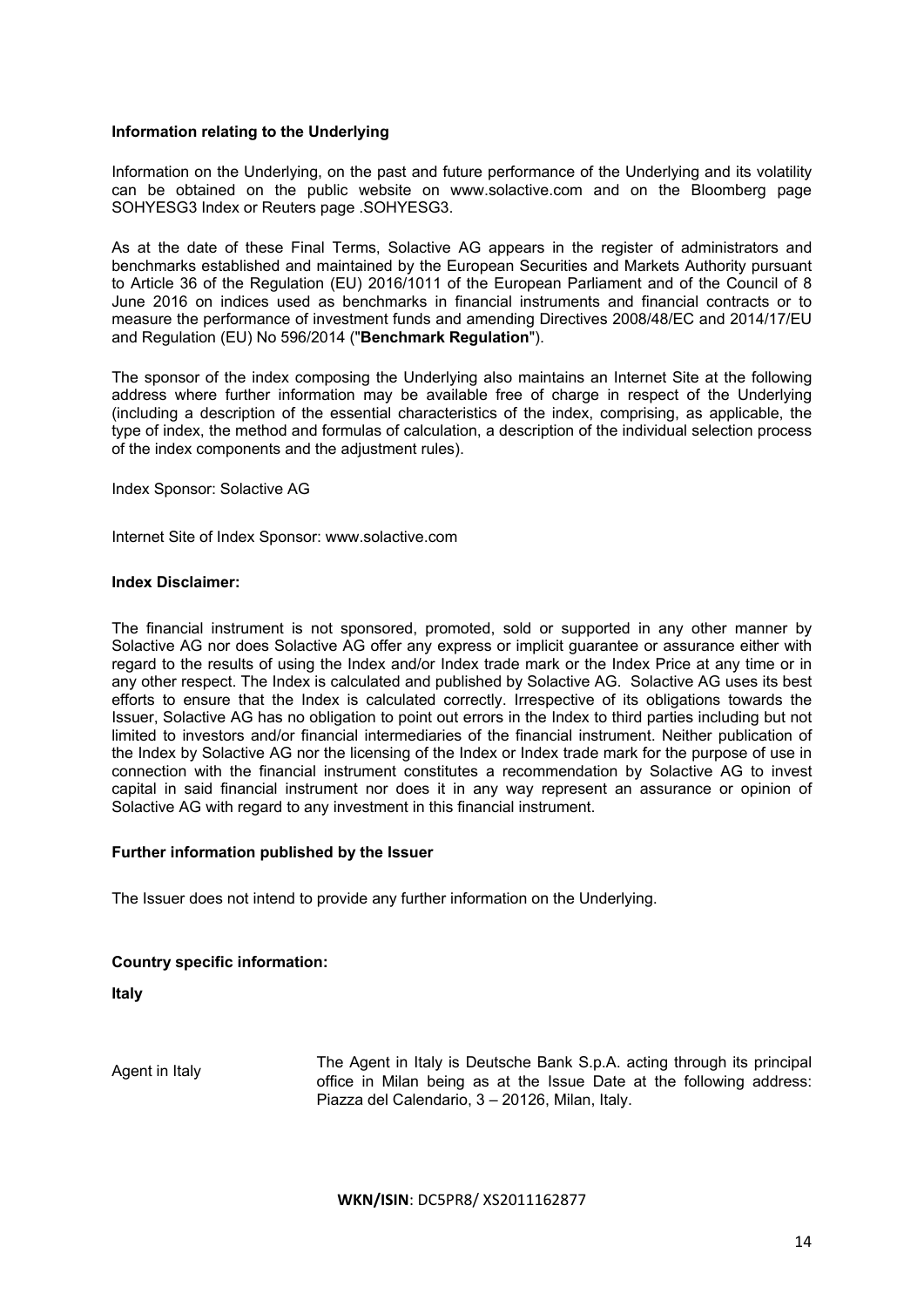# **Information relating to the Underlying**

Information on the Underlying, on the past and future performance of the Underlying and its volatility can be obtained on the public website on www.solactive.com and on the Bloomberg page SOHYESG3 Index or Reuters page .SOHYESG3.

As at the date of these Final Terms, Solactive AG appears in the register of administrators and benchmarks established and maintained by the European Securities and Markets Authority pursuant to Article 36 of the Regulation (EU) 2016/1011 of the European Parliament and of the Council of 8 June 2016 on indices used as benchmarks in financial instruments and financial contracts or to measure the performance of investment funds and amending Directives 2008/48/EC and 2014/17/EU and Regulation (EU) No 596/2014 ("**Benchmark Regulation**").

The sponsor of the index composing the Underlying also maintains an Internet Site at the following address where further information may be available free of charge in respect of the Underlying (including a description of the essential characteristics of the index, comprising, as applicable, the type of index, the method and formulas of calculation, a description of the individual selection process of the index components and the adjustment rules).

Index Sponsor: Solactive AG

Internet Site of Index Sponsor: www.solactive.com

# **Index Disclaimer:**

The financial instrument is not sponsored, promoted, sold or supported in any other manner by Solactive AG nor does Solactive AG offer any express or implicit guarantee or assurance either with regard to the results of using the Index and/or Index trade mark or the Index Price at any time or in any other respect. The Index is calculated and published by Solactive AG. Solactive AG uses its best efforts to ensure that the Index is calculated correctly. Irrespective of its obligations towards the Issuer, Solactive AG has no obligation to point out errors in the Index to third parties including but not limited to investors and/or financial intermediaries of the financial instrument. Neither publication of the Index by Solactive AG nor the licensing of the Index or Index trade mark for the purpose of use in connection with the financial instrument constitutes a recommendation by Solactive AG to invest capital in said financial instrument nor does it in any way represent an assurance or opinion of Solactive AG with regard to any investment in this financial instrument.

# **Further information published by the Issuer**

The Issuer does not intend to provide any further information on the Underlying.

# **Country specific information:**

**Italy**

Agent in Italy The Agent in Italy is Deutsche Bank S.p.A. acting through its principal office in Milan being as at the Issue Date at the following address: Piazza del Calendario, 3 – 20126, Milan, Italy.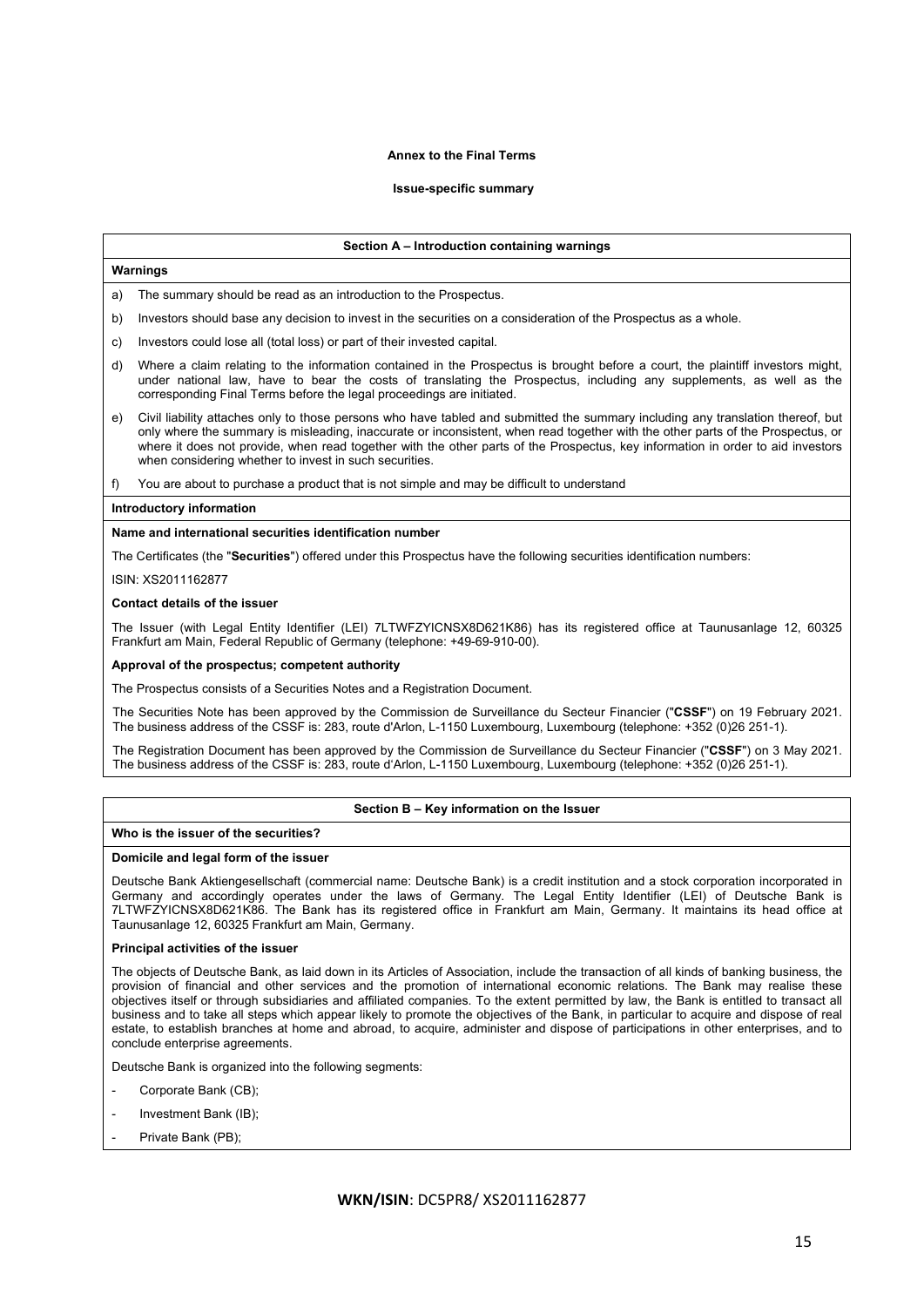## **Annex to the Final Terms**

## **Issue-specific summary**

## **Section A – Introduction containing warnings**

## **Warnings**

The summary should be read as an introduction to the Prospectus.

- b) Investors should base any decision to invest in the securities on a consideration of the Prospectus as a whole.
- c) Investors could lose all (total loss) or part of their invested capital.
- d) Where a claim relating to the information contained in the Prospectus is brought before a court, the plaintiff investors might, under national law, have to bear the costs of translating the Prospectus, including any supplements, as well as the corresponding Final Terms before the legal proceedings are initiated.
- e) Civil liability attaches only to those persons who have tabled and submitted the summary including any translation thereof, but only where the summary is misleading, inaccurate or inconsistent, when read together with the other parts of the Prospectus, or where it does not provide, when read together with the other parts of the Prospectus, key information in order to aid investors when considering whether to invest in such securities.
- f) You are about to purchase a product that is not simple and may be difficult to understand

#### **Introductory information**

#### **Name and international securities identification number**

The Certificates (the "**Securities**") offered under this Prospectus have the following securities identification numbers:

ISIN: XS2011162877

#### **Contact details of the issuer**

The Issuer (with Legal Entity Identifier (LEI) 7LTWFZYICNSX8D621K86) has its registered office at Taunusanlage 12, 60325 Frankfurt am Main, Federal Republic of Germany (telephone: +49-69-910-00).

## **Approval of the prospectus; competent authority**

The Prospectus consists of a Securities Notes and a Registration Document.

The Securities Note has been approved by the Commission de Surveillance du Secteur Financier ("**CSSF**") on 19 February 2021. The business address of the CSSF is: 283, route d'Arlon, L-1150 Luxembourg, Luxembourg (telephone: +352 (0)26 251-1).

The Registration Document has been approved by the Commission de Surveillance du Secteur Financier ("**CSSF**") on 3 May 2021. The business address of the CSSF is: 283, route d'Arlon, L-1150 Luxembourg, Luxembourg (telephone: +352 (0)26 251-1).

## **Section B – Key information on the Issuer**

#### **Who is the issuer of the securities?**

## **Domicile and legal form of the issuer**

Deutsche Bank Aktiengesellschaft (commercial name: Deutsche Bank) is a credit institution and a stock corporation incorporated in Germany and accordingly operates under the laws of Germany. The Legal Entity Identifier (LEI) of Deutsche Bank is 7LTWFZYICNSX8D621K86. The Bank has its registered office in Frankfurt am Main, Germany. It maintains its head office at Taunusanlage 12, 60325 Frankfurt am Main, Germany.

## **Principal activities of the issuer**

The objects of Deutsche Bank, as laid down in its Articles of Association, include the transaction of all kinds of banking business, the provision of financial and other services and the promotion of international economic relations. The Bank may realise these objectives itself or through subsidiaries and affiliated companies. To the extent permitted by law, the Bank is entitled to transact all business and to take all steps which appear likely to promote the objectives of the Bank, in particular to acquire and dispose of real estate, to establish branches at home and abroad, to acquire, administer and dispose of participations in other enterprises, and to conclude enterprise agreements.

Deutsche Bank is organized into the following segments:

- Corporate Bank (CB):
- Investment Bank (IB);
- Private Bank (PB);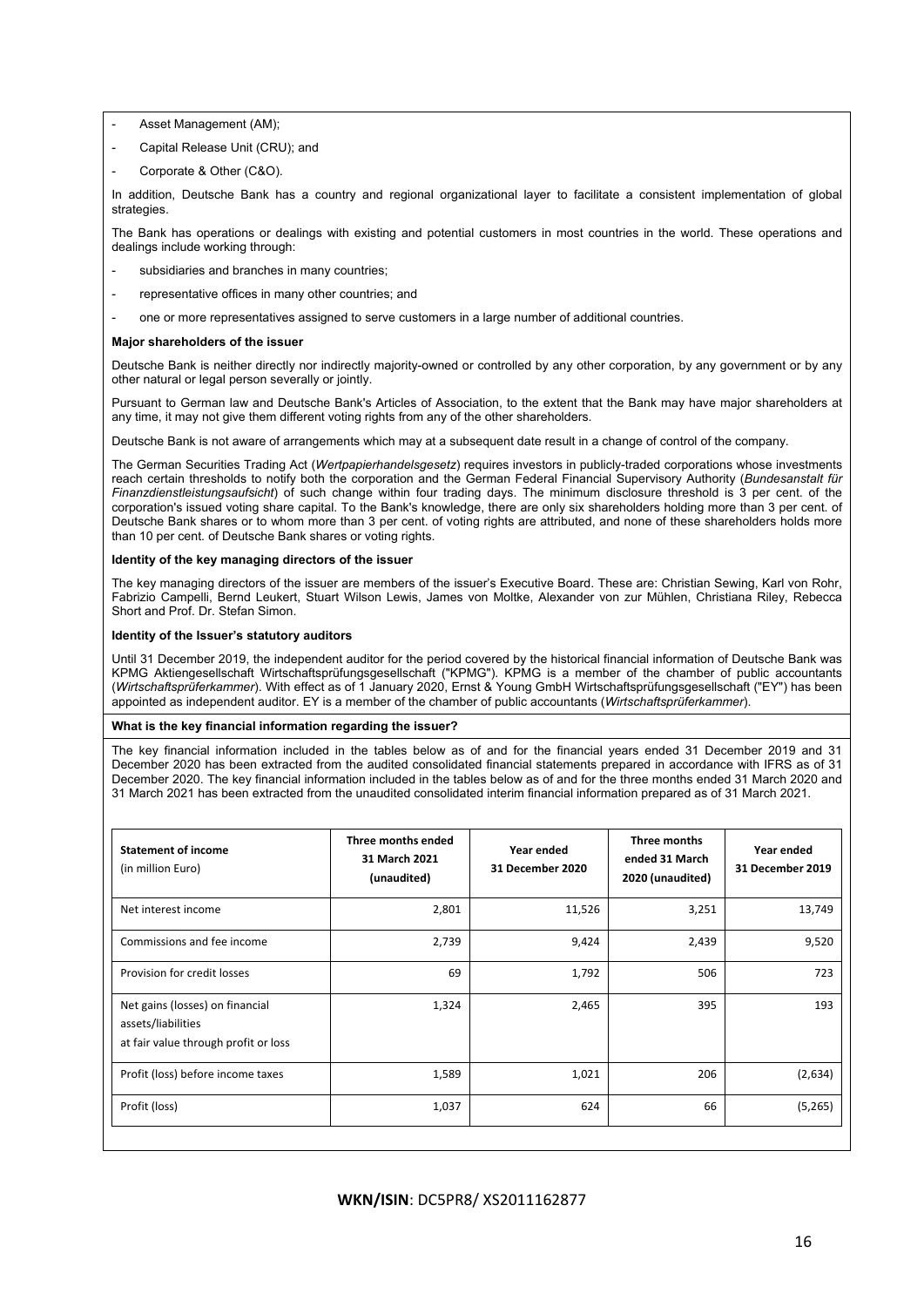- Asset Management (AM);
- Capital Release Unit (CRU); and
- Corporate & Other (C&O).

In addition, Deutsche Bank has a country and regional organizational layer to facilitate a consistent implementation of global strategies

The Bank has operations or dealings with existing and potential customers in most countries in the world. These operations and dealings include working through:

- subsidiaries and branches in many countries:
- representative offices in many other countries; and
- one or more representatives assigned to serve customers in a large number of additional countries.

## **Major shareholders of the issuer**

Deutsche Bank is neither directly nor indirectly majority-owned or controlled by any other corporation, by any government or by any other natural or legal person severally or jointly.

Pursuant to German law and Deutsche Bank's Articles of Association, to the extent that the Bank may have major shareholders at any time, it may not give them different voting rights from any of the other shareholders.

Deutsche Bank is not aware of arrangements which may at a subsequent date result in a change of control of the company.

The German Securities Trading Act (*Wertpapierhandelsgesetz*) requires investors in publicly-traded corporations whose investments reach certain thresholds to notify both the corporation and the German Federal Financial Supervisory Authority (*Bundesanstalt für Finanzdienstleistungsaufsicht*) of such change within four trading days. The minimum disclosure threshold is 3 per cent. of the corporation's issued voting share capital. To the Bank's knowledge, there are only six shareholders holding more than 3 per cent. of Deutsche Bank shares or to whom more than 3 per cent. of voting rights are attributed, and none of these shareholders holds more than 10 per cent. of Deutsche Bank shares or voting rights.

## **Identity of the key managing directors of the issuer**

The key managing directors of the issuer are members of the issuer's Executive Board. These are: Christian Sewing, Karl von Rohr, Fabrizio Campelli, Bernd Leukert, Stuart Wilson Lewis, James von Moltke, Alexander von zur Mühlen, Christiana Riley, Rebecca Short and Prof. Dr. Stefan Simon.

## **Identity of the Issuer's statutory auditors**

Until 31 December 2019, the independent auditor for the period covered by the historical financial information of Deutsche Bank was KPMG Aktiengesellschaft Wirtschaftsprüfungsgesellschaft ("KPMG"). KPMG is a member of the chamber of public accountants (*Wirtschaftsprüferkammer*). With effect as of 1 January 2020, Ernst & Young GmbH Wirtschaftsprüfungsgesellschaft ("EY") has been appointed as independent auditor. EY is a member of the chamber of public accountants (*Wirtschaftsprüferkammer*).

## **What is the key financial information regarding the issuer?**

The key financial information included in the tables below as of and for the financial years ended 31 December 2019 and 31 December 2020 has been extracted from the audited consolidated financial statements prepared in accordance with IFRS as of 31 December 2020. The key financial information included in the tables below as of and for the three months ended 31 March 2020 and 31 March 2021 has been extracted from the unaudited consolidated interim financial information prepared as of 31 March 2021.

| <b>Statement of income</b><br>(in million Euro)                                               | Three months ended<br>31 March 2021<br>(unaudited) | Year ended<br>31 December 2020 | Three months<br>ended 31 March<br>2020 (unaudited) | Year ended<br>31 December 2019 |
|-----------------------------------------------------------------------------------------------|----------------------------------------------------|--------------------------------|----------------------------------------------------|--------------------------------|
| Net interest income                                                                           | 2,801                                              | 11,526                         | 3,251                                              | 13,749                         |
| Commissions and fee income                                                                    | 2,739                                              | 9,424                          | 2,439                                              | 9,520                          |
| Provision for credit losses                                                                   | 69                                                 | 1,792                          | 506                                                | 723                            |
| Net gains (losses) on financial<br>assets/liabilities<br>at fair value through profit or loss | 1,324                                              | 2,465                          | 395                                                | 193                            |
| Profit (loss) before income taxes                                                             | 1,589                                              | 1,021                          | 206                                                | (2,634)                        |
| Profit (loss)                                                                                 | 1,037                                              | 624                            | 66                                                 | (5,265)                        |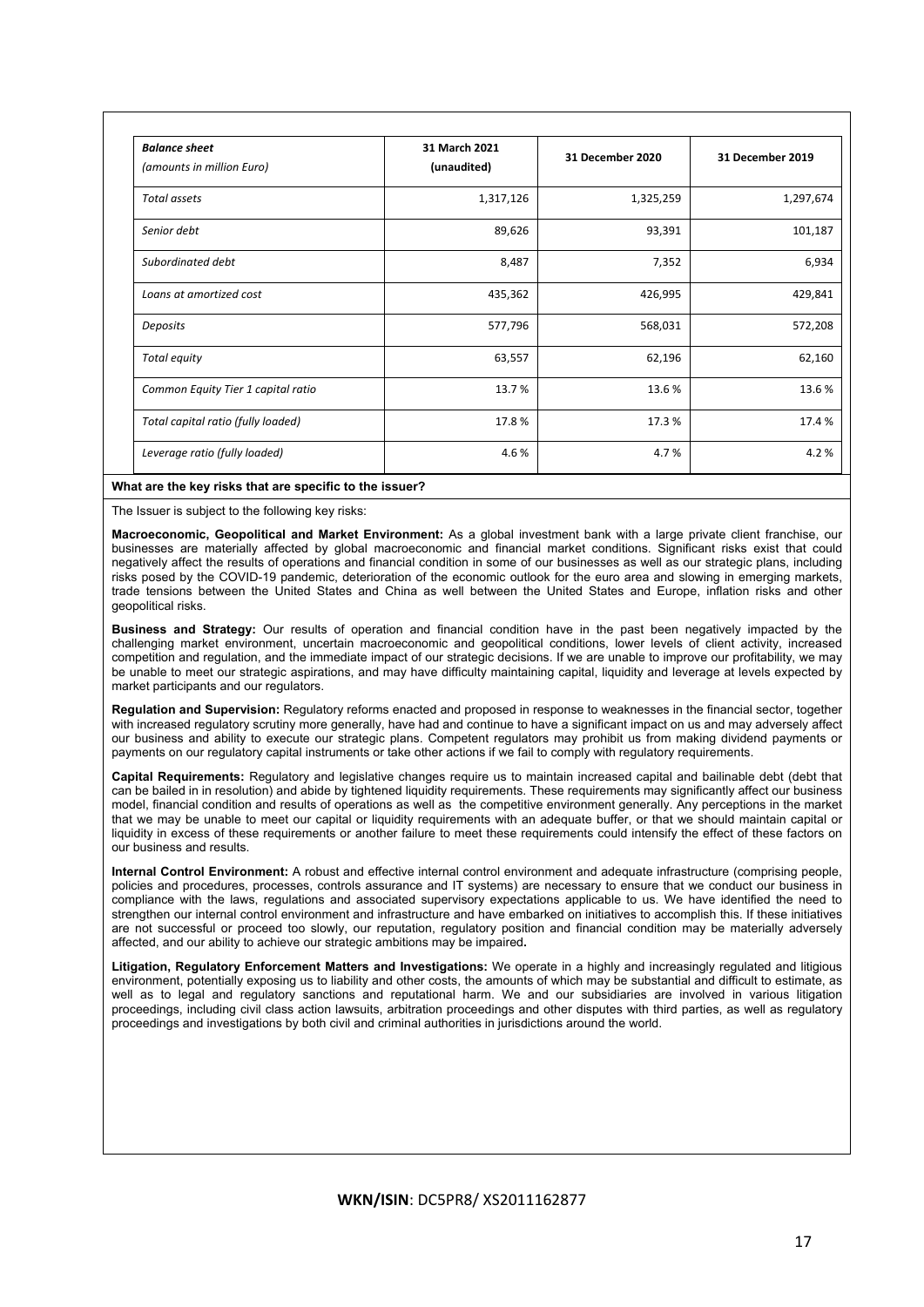| <b>Balance sheet</b><br>(amounts in million Euro) | 31 March 2021<br>(unaudited) | 31 December 2020 | 31 December 2019 |
|---------------------------------------------------|------------------------------|------------------|------------------|
| Total assets                                      | 1,317,126                    | 1,325,259        | 1,297,674        |
| Senior debt                                       | 89,626                       | 93,391           | 101,187          |
| Subordinated debt                                 | 8,487                        | 7,352            | 6,934            |
| Loans at amortized cost                           | 435,362                      | 426,995          | 429,841          |
| Deposits                                          | 577,796                      | 568,031          | 572,208          |
| Total equity                                      | 63,557                       | 62,196           | 62,160           |
| Common Equity Tier 1 capital ratio                | 13.7%                        | 13.6%            | 13.6%            |
| Total capital ratio (fully loaded)                | 17.8 %                       | 17.3%            | 17.4 %           |
| Leverage ratio (fully loaded)                     | 4.6%                         | 4.7%             | 4.2%             |

## **What are the key risks that are specific to the issuer?**

The Issuer is subject to the following key risks:

**Macroeconomic, Geopolitical and Market Environment:** As a global investment bank with a large private client franchise, our businesses are materially affected by global macroeconomic and financial market conditions. Significant risks exist that could negatively affect the results of operations and financial condition in some of our businesses as well as our strategic plans, including risks posed by the COVID-19 pandemic, deterioration of the economic outlook for the euro area and slowing in emerging markets, trade tensions between the United States and China as well between the United States and Europe, inflation risks and other geopolitical risks.

**Business and Strategy:** Our results of operation and financial condition have in the past been negatively impacted by the challenging market environment, uncertain macroeconomic and geopolitical conditions, lower levels of client activity, increased competition and regulation, and the immediate impact of our strategic decisions. If we are unable to improve our profitability, we may be unable to meet our strategic aspirations, and may have difficulty maintaining capital, liquidity and leverage at levels expected by market participants and our regulators.

**Regulation and Supervision:** Regulatory reforms enacted and proposed in response to weaknesses in the financial sector, together with increased regulatory scrutiny more generally, have had and continue to have a significant impact on us and may adversely affect our business and ability to execute our strategic plans. Competent regulators may prohibit us from making dividend payments or payments on our regulatory capital instruments or take other actions if we fail to comply with regulatory requirements.

**Capital Requirements:** Regulatory and legislative changes require us to maintain increased capital and bailinable debt (debt that can be bailed in in resolution) and abide by tightened liquidity requirements. These requirements may significantly affect our business model, financial condition and results of operations as well as the competitive environment generally. Any perceptions in the market that we may be unable to meet our capital or liquidity requirements with an adequate buffer, or that we should maintain capital or liquidity in excess of these requirements or another failure to meet these requirements could intensify the effect of these factors on our business and results.

**Internal Control Environment:** A robust and effective internal control environment and adequate infrastructure (comprising people, policies and procedures, processes, controls assurance and IT systems) are necessary to ensure that we conduct our business in compliance with the laws, regulations and associated supervisory expectations applicable to us. We have identified the need to strengthen our internal control environment and infrastructure and have embarked on initiatives to accomplish this. If these initiatives are not successful or proceed too slowly, our reputation, regulatory position and financial condition may be materially adversely affected, and our ability to achieve our strategic ambitions may be impaired**.** 

**Litigation, Regulatory Enforcement Matters and Investigations:** We operate in a highly and increasingly regulated and litigious environment, potentially exposing us to liability and other costs, the amounts of which may be substantial and difficult to estimate, as well as to legal and regulatory sanctions and reputational harm. We and our subsidiaries are involved in various litigation proceedings, including civil class action lawsuits, arbitration proceedings and other disputes with third parties, as well as regulatory proceedings and investigations by both civil and criminal authorities in jurisdictions around the world.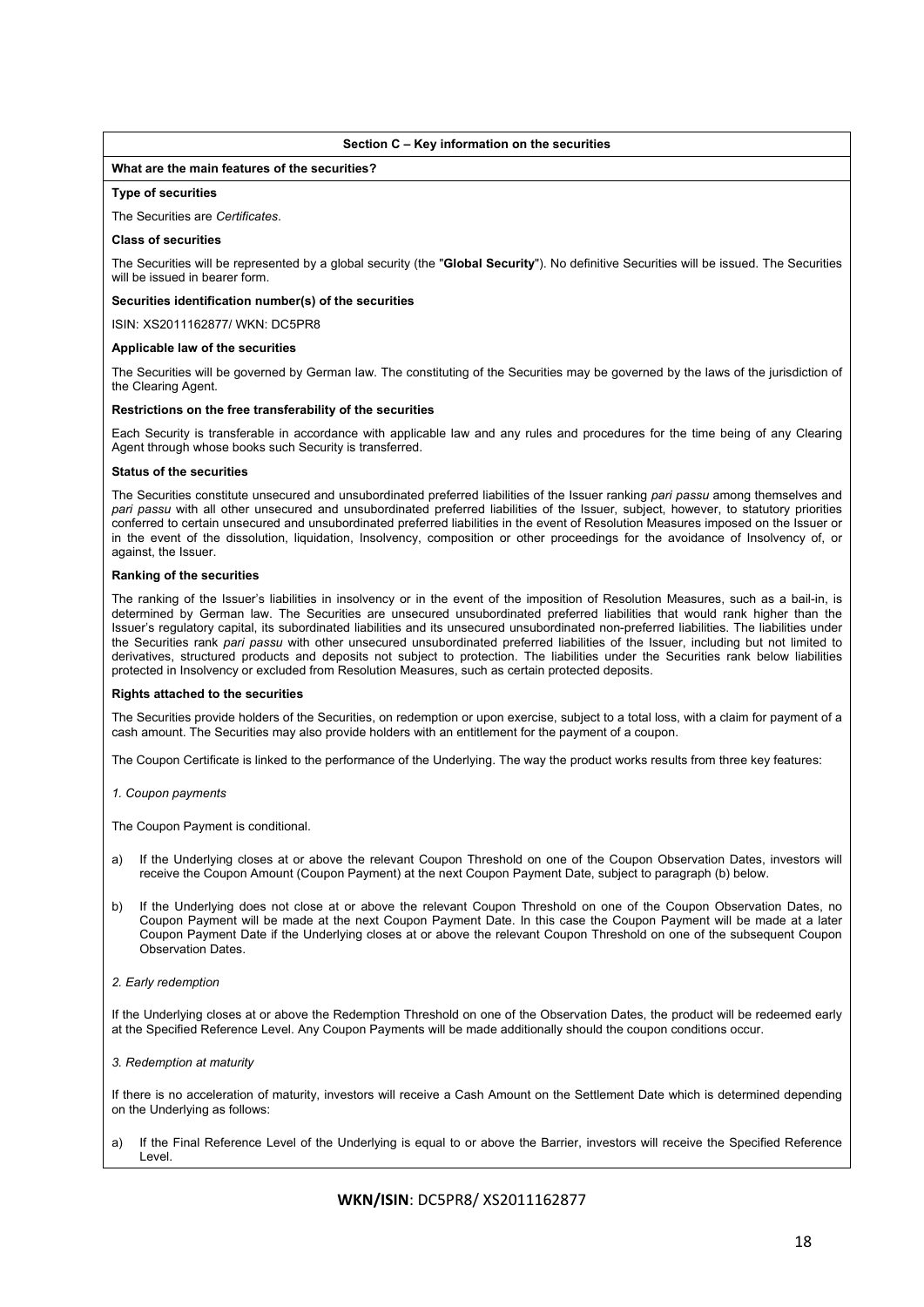## **Section C – Key information on the securities**

## **What are the main features of the securities?**

## **Type of securities**

#### The Securities are *Certificates*.

#### **Class of securities**

The Securities will be represented by a global security (the "**Global Security**"). No definitive Securities will be issued. The Securities will be issued in bearer form.

## **Securities identification number(s) of the securities**

ISIN: XS2011162877/ WKN: DC5PR8

#### **Applicable law of the securities**

The Securities will be governed by German law. The constituting of the Securities may be governed by the laws of the jurisdiction of the Clearing Agent.

#### **Restrictions on the free transferability of the securities**

Each Security is transferable in accordance with applicable law and any rules and procedures for the time being of any Clearing Agent through whose books such Security is transferred.

#### **Status of the securities**

The Securities constitute unsecured and unsubordinated preferred liabilities of the Issuer ranking *pari passu* among themselves and *pari passu* with all other unsecured and unsubordinated preferred liabilities of the Issuer, subject, however, to statutory priorities conferred to certain unsecured and unsubordinated preferred liabilities in the event of Resolution Measures imposed on the Issuer or in the event of the dissolution, liquidation, Insolvency, composition or other proceedings for the avoidance of Insolvency of, or against, the Issuer.

#### **Ranking of the securities**

The ranking of the Issuer's liabilities in insolvency or in the event of the imposition of Resolution Measures, such as a bail-in, is determined by German law. The Securities are unsecured unsubordinated preferred liabilities that would rank higher than the Issuer's regulatory capital, its subordinated liabilities and its unsecured unsubordinated non-preferred liabilities. The liabilities under the Securities rank *pari passu* with other unsecured unsubordinated preferred liabilities of the Issuer, including but not limited to derivatives, structured products and deposits not subject to protection. The liabilities under the Securities rank below liabilities protected in Insolvency or excluded from Resolution Measures, such as certain protected deposits.

#### **Rights attached to the securities**

The Securities provide holders of the Securities, on redemption or upon exercise, subject to a total loss, with a claim for payment of a cash amount. The Securities may also provide holders with an entitlement for the payment of a coupon.

The Coupon Certificate is linked to the performance of the Underlying. The way the product works results from three key features:

*1. Coupon payments* 

The Coupon Payment is conditional.

- a) If the Underlying closes at or above the relevant Coupon Threshold on one of the Coupon Observation Dates, investors will receive the Coupon Amount (Coupon Payment) at the next Coupon Payment Date, subject to paragraph (b) below.
- b) If the Underlying does not close at or above the relevant Coupon Threshold on one of the Coupon Observation Dates, no Coupon Payment will be made at the next Coupon Payment Date. In this case the Coupon Payment will be made at a later Coupon Payment Date if the Underlying closes at or above the relevant Coupon Threshold on one of the subsequent Coupon Observation Dates.
- *2. Early redemption*

If the Underlying closes at or above the Redemption Threshold on one of the Observation Dates, the product will be redeemed early at the Specified Reference Level. Any Coupon Payments will be made additionally should the coupon conditions occur.

## *3. Redemption at maturity*

If there is no acceleration of maturity, investors will receive a Cash Amount on the Settlement Date which is determined depending on the Underlying as follows:

a) If the Final Reference Level of the Underlying is equal to or above the Barrier, investors will receive the Specified Reference Level.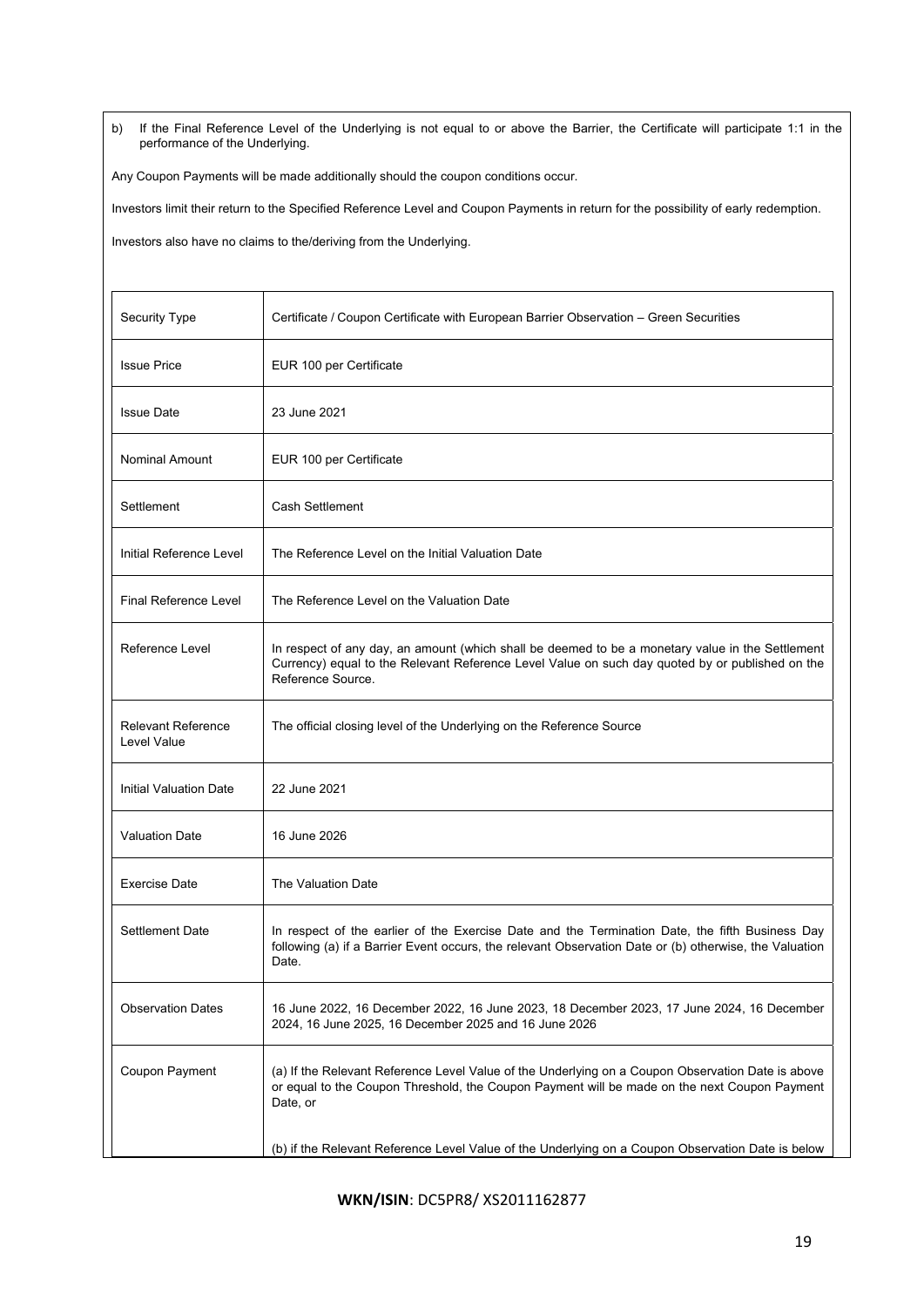b) If the Final Reference Level of the Underlying is not equal to or above the Barrier, the Certificate will participate 1:1 in the performance of the Underlying.

Any Coupon Payments will be made additionally should the coupon conditions occur.

Investors limit their return to the Specified Reference Level and Coupon Payments in return for the possibility of early redemption.

Investors also have no claims to the/deriving from the Underlying.

| Security Type                            | Certificate / Coupon Certificate with European Barrier Observation – Green Securities                                                                                                                                    |
|------------------------------------------|--------------------------------------------------------------------------------------------------------------------------------------------------------------------------------------------------------------------------|
| <b>Issue Price</b>                       | EUR 100 per Certificate                                                                                                                                                                                                  |
| <b>Issue Date</b>                        | 23 June 2021                                                                                                                                                                                                             |
| Nominal Amount                           | EUR 100 per Certificate                                                                                                                                                                                                  |
| Settlement                               | Cash Settlement                                                                                                                                                                                                          |
| Initial Reference Level                  | The Reference Level on the Initial Valuation Date                                                                                                                                                                        |
| <b>Final Reference Level</b>             | The Reference Level on the Valuation Date                                                                                                                                                                                |
| Reference Level                          | In respect of any day, an amount (which shall be deemed to be a monetary value in the Settlement<br>Currency) equal to the Relevant Reference Level Value on such day quoted by or published on the<br>Reference Source. |
| <b>Relevant Reference</b><br>Level Value | The official closing level of the Underlying on the Reference Source                                                                                                                                                     |
| Initial Valuation Date                   | 22 June 2021                                                                                                                                                                                                             |
| <b>Valuation Date</b>                    | 16 June 2026                                                                                                                                                                                                             |
| <b>Exercise Date</b>                     | The Valuation Date                                                                                                                                                                                                       |
| <b>Settlement Date</b>                   | In respect of the earlier of the Exercise Date and the Termination Date, the fifth Business Day<br>following (a) if a Barrier Event occurs, the relevant Observation Date or (b) otherwise, the Valuation<br>Date.       |
| <b>Observation Dates</b>                 | 16 June 2022, 16 December 2022, 16 June 2023, 18 December 2023, 17 June 2024, 16 December<br>2024, 16 June 2025, 16 December 2025 and 16 June 2026                                                                       |
| Coupon Payment                           | (a) If the Relevant Reference Level Value of the Underlying on a Coupon Observation Date is above<br>or equal to the Coupon Threshold, the Coupon Payment will be made on the next Coupon Payment<br>Date, or            |
|                                          | (b) if the Relevant Reference Level Value of the Underlying on a Coupon Observation Date is below                                                                                                                        |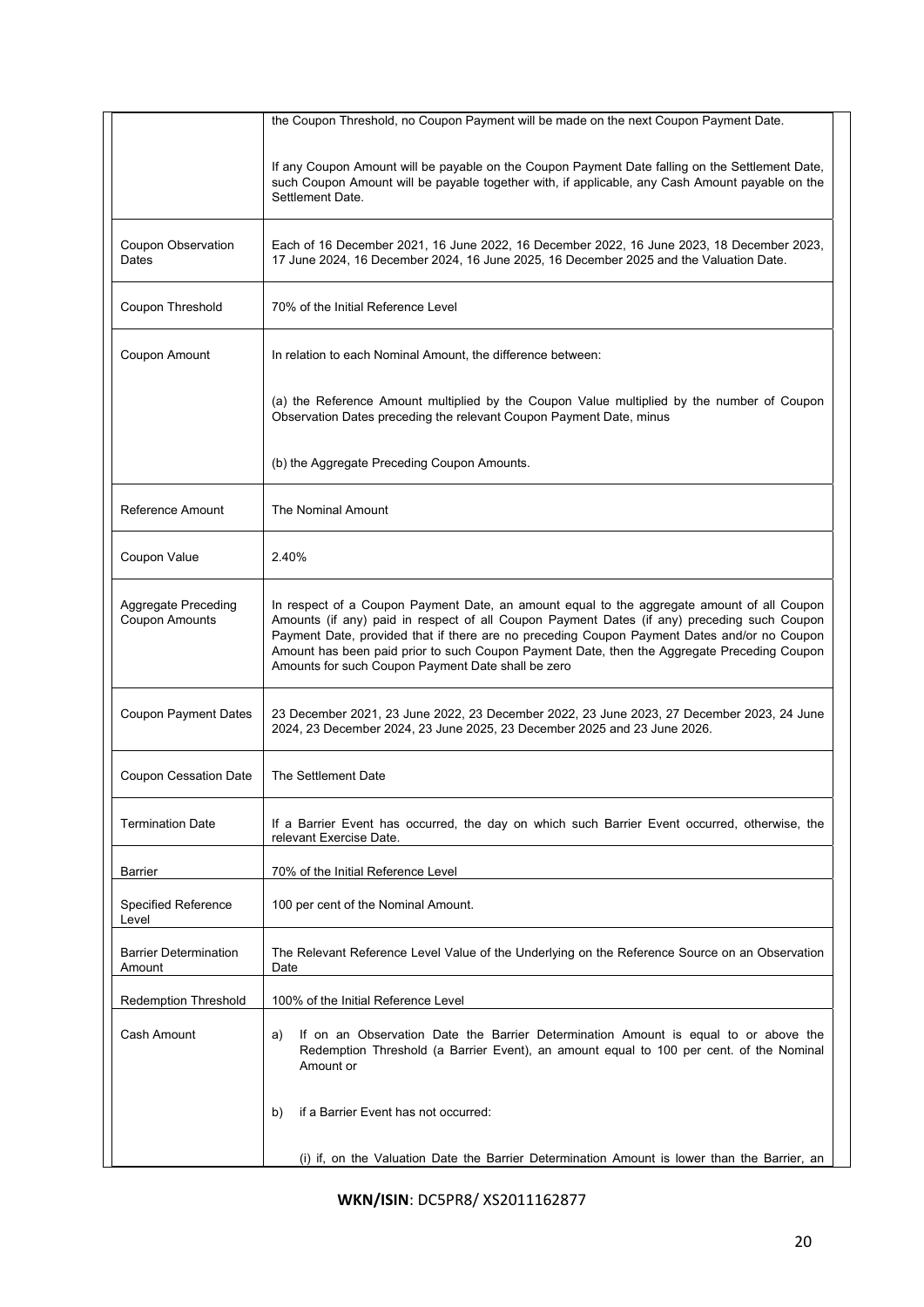|                                              | the Coupon Threshold, no Coupon Payment will be made on the next Coupon Payment Date.                                                                                                                                                                                                                                                                                                                                                         |  |  |
|----------------------------------------------|-----------------------------------------------------------------------------------------------------------------------------------------------------------------------------------------------------------------------------------------------------------------------------------------------------------------------------------------------------------------------------------------------------------------------------------------------|--|--|
|                                              |                                                                                                                                                                                                                                                                                                                                                                                                                                               |  |  |
|                                              | If any Coupon Amount will be payable on the Coupon Payment Date falling on the Settlement Date,<br>such Coupon Amount will be payable together with, if applicable, any Cash Amount payable on the<br>Settlement Date.                                                                                                                                                                                                                        |  |  |
| Coupon Observation<br>Dates                  | Each of 16 December 2021, 16 June 2022, 16 December 2022, 16 June 2023, 18 December 2023,<br>17 June 2024, 16 December 2024, 16 June 2025, 16 December 2025 and the Valuation Date.                                                                                                                                                                                                                                                           |  |  |
| Coupon Threshold                             | 70% of the Initial Reference Level                                                                                                                                                                                                                                                                                                                                                                                                            |  |  |
| Coupon Amount                                | In relation to each Nominal Amount, the difference between:                                                                                                                                                                                                                                                                                                                                                                                   |  |  |
|                                              | (a) the Reference Amount multiplied by the Coupon Value multiplied by the number of Coupon<br>Observation Dates preceding the relevant Coupon Payment Date, minus                                                                                                                                                                                                                                                                             |  |  |
|                                              | (b) the Aggregate Preceding Coupon Amounts.                                                                                                                                                                                                                                                                                                                                                                                                   |  |  |
| Reference Amount                             | The Nominal Amount                                                                                                                                                                                                                                                                                                                                                                                                                            |  |  |
| Coupon Value                                 | 2.40%                                                                                                                                                                                                                                                                                                                                                                                                                                         |  |  |
| Aggregate Preceding<br><b>Coupon Amounts</b> | In respect of a Coupon Payment Date, an amount equal to the aggregate amount of all Coupon<br>Amounts (if any) paid in respect of all Coupon Payment Dates (if any) preceding such Coupon<br>Payment Date, provided that if there are no preceding Coupon Payment Dates and/or no Coupon<br>Amount has been paid prior to such Coupon Payment Date, then the Aggregate Preceding Coupon<br>Amounts for such Coupon Payment Date shall be zero |  |  |
| Coupon Payment Dates                         | 23 December 2021, 23 June 2022, 23 December 2022, 23 June 2023, 27 December 2023, 24 June<br>2024, 23 December 2024, 23 June 2025, 23 December 2025 and 23 June 2026.                                                                                                                                                                                                                                                                         |  |  |
| Coupon Cessation Date                        | The Settlement Date                                                                                                                                                                                                                                                                                                                                                                                                                           |  |  |
| <b>Termination Date</b>                      | If a Barrier Event has occurred, the day on which such Barrier Event occurred, otherwise, the<br>relevant Exercise Date.                                                                                                                                                                                                                                                                                                                      |  |  |
| <b>Barrier</b>                               | 70% of the Initial Reference Level                                                                                                                                                                                                                                                                                                                                                                                                            |  |  |
| <b>Specified Reference</b><br>Level          | 100 per cent of the Nominal Amount.                                                                                                                                                                                                                                                                                                                                                                                                           |  |  |
| <b>Barrier Determination</b><br>Amount       | The Relevant Reference Level Value of the Underlying on the Reference Source on an Observation<br>Date                                                                                                                                                                                                                                                                                                                                        |  |  |
| <b>Redemption Threshold</b>                  | 100% of the Initial Reference Level                                                                                                                                                                                                                                                                                                                                                                                                           |  |  |
| Cash Amount                                  | If on an Observation Date the Barrier Determination Amount is equal to or above the<br>a)<br>Redemption Threshold (a Barrier Event), an amount equal to 100 per cent. of the Nominal<br>Amount or                                                                                                                                                                                                                                             |  |  |
|                                              | if a Barrier Event has not occurred:<br>b)                                                                                                                                                                                                                                                                                                                                                                                                    |  |  |
|                                              | (i) if, on the Valuation Date the Barrier Determination Amount is lower than the Barrier, an                                                                                                                                                                                                                                                                                                                                                  |  |  |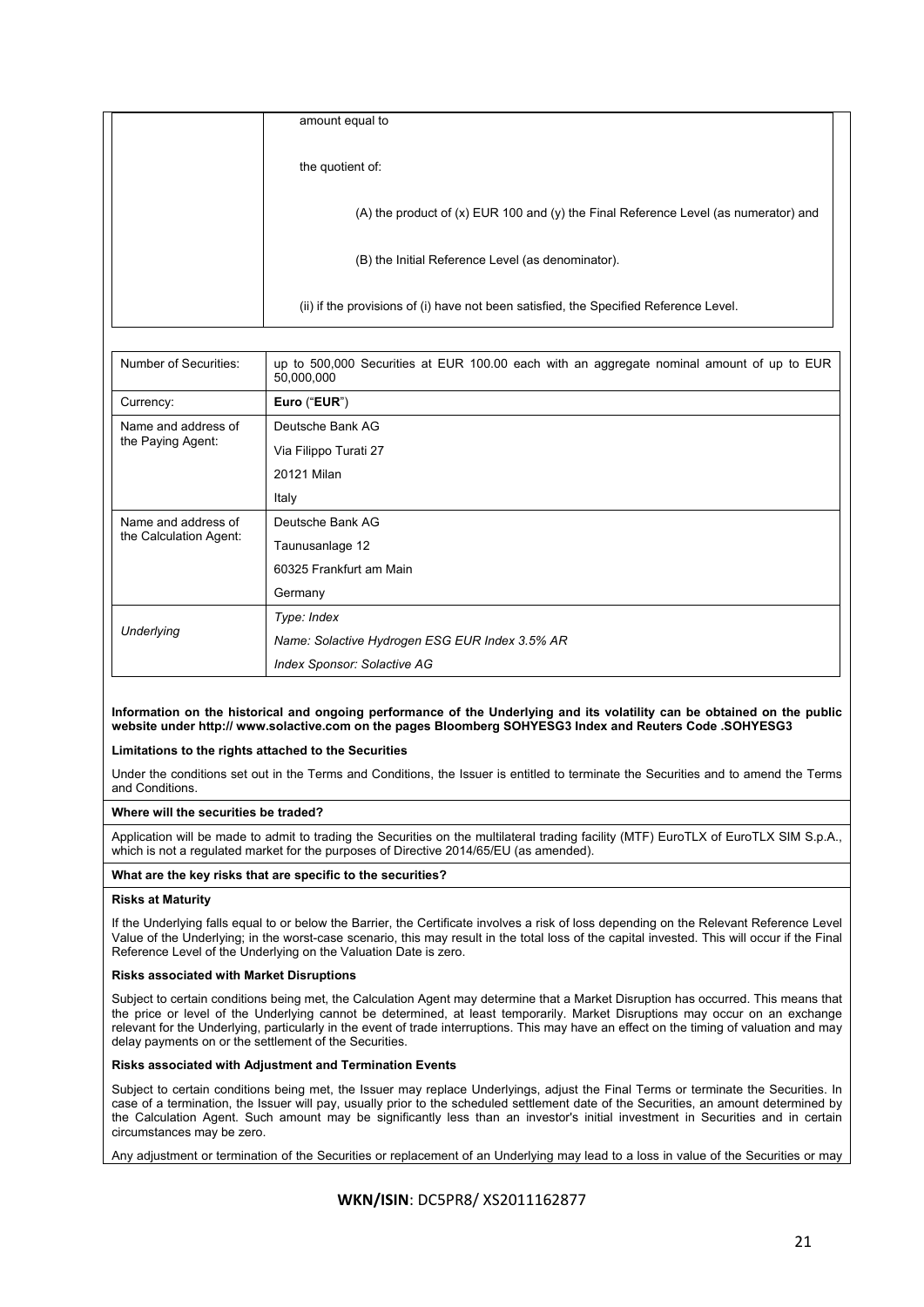| amount equal to                                                                         |  |
|-----------------------------------------------------------------------------------------|--|
| the quotient of:                                                                        |  |
| (A) the product of $(x)$ EUR 100 and $(y)$ the Final Reference Level (as numerator) and |  |
| (B) the Initial Reference Level (as denominator).                                       |  |
| (ii) if the provisions of (i) have not been satisfied, the Specified Reference Level.   |  |

| Number of Securities:                         | up to 500,000 Securities at EUR 100.00 each with an aggregate nominal amount of up to EUR<br>50,000,000 |
|-----------------------------------------------|---------------------------------------------------------------------------------------------------------|
| Currency:                                     | Euro ("EUR")                                                                                            |
| Name and address of<br>the Paying Agent:      | Deutsche Bank AG                                                                                        |
|                                               | Via Filippo Turati 27                                                                                   |
|                                               | 20121 Milan                                                                                             |
|                                               | Italy                                                                                                   |
| Name and address of<br>the Calculation Agent: | Deutsche Bank AG                                                                                        |
|                                               | Taunusanlage 12                                                                                         |
|                                               | 60325 Frankfurt am Main                                                                                 |
|                                               | Germany                                                                                                 |
| Underlying                                    | Type: Index                                                                                             |
|                                               | Name: Solactive Hydrogen ESG EUR Index 3.5% AR                                                          |
|                                               | Index Sponsor: Solactive AG                                                                             |

# **Information on the historical and ongoing performance of the Underlying and its volatility can be obtained on the public website under http:// www.solactive.com on the pages Bloomberg SOHYESG3 Index and Reuters Code .SOHYESG3**

## **Limitations to the rights attached to the Securities**

Under the conditions set out in the Terms and Conditions, the Issuer is entitled to terminate the Securities and to amend the Terms and Conditions.

# **Where will the securities be traded?**

Application will be made to admit to trading the Securities on the multilateral trading facility (MTF) EuroTLX of EuroTLX SIM S.p.A., which is not a regulated market for the purposes of Directive 2014/65/EU (as amended).

# **What are the key risks that are specific to the securities?**

## **Risks at Maturity**

If the Underlying falls equal to or below the Barrier, the Certificate involves a risk of loss depending on the Relevant Reference Level Value of the Underlying; in the worst-case scenario, this may result in the total loss of the capital invested. This will occur if the Final Reference Level of the Underlying on the Valuation Date is zero.

# **Risks associated with Market Disruptions**

Subject to certain conditions being met, the Calculation Agent may determine that a Market Disruption has occurred. This means that the price or level of the Underlying cannot be determined, at least temporarily. Market Disruptions may occur on an exchange relevant for the Underlying, particularly in the event of trade interruptions. This may have an effect on the timing of valuation and may delay payments on or the settlement of the Securities.

## **Risks associated with Adjustment and Termination Events**

Subject to certain conditions being met, the Issuer may replace Underlyings, adjust the Final Terms or terminate the Securities. In case of a termination, the Issuer will pay, usually prior to the scheduled settlement date of the Securities, an amount determined by the Calculation Agent. Such amount may be significantly less than an investor's initial investment in Securities and in certain circumstances may be zero.

Any adjustment or termination of the Securities or replacement of an Underlying may lead to a loss in value of the Securities or may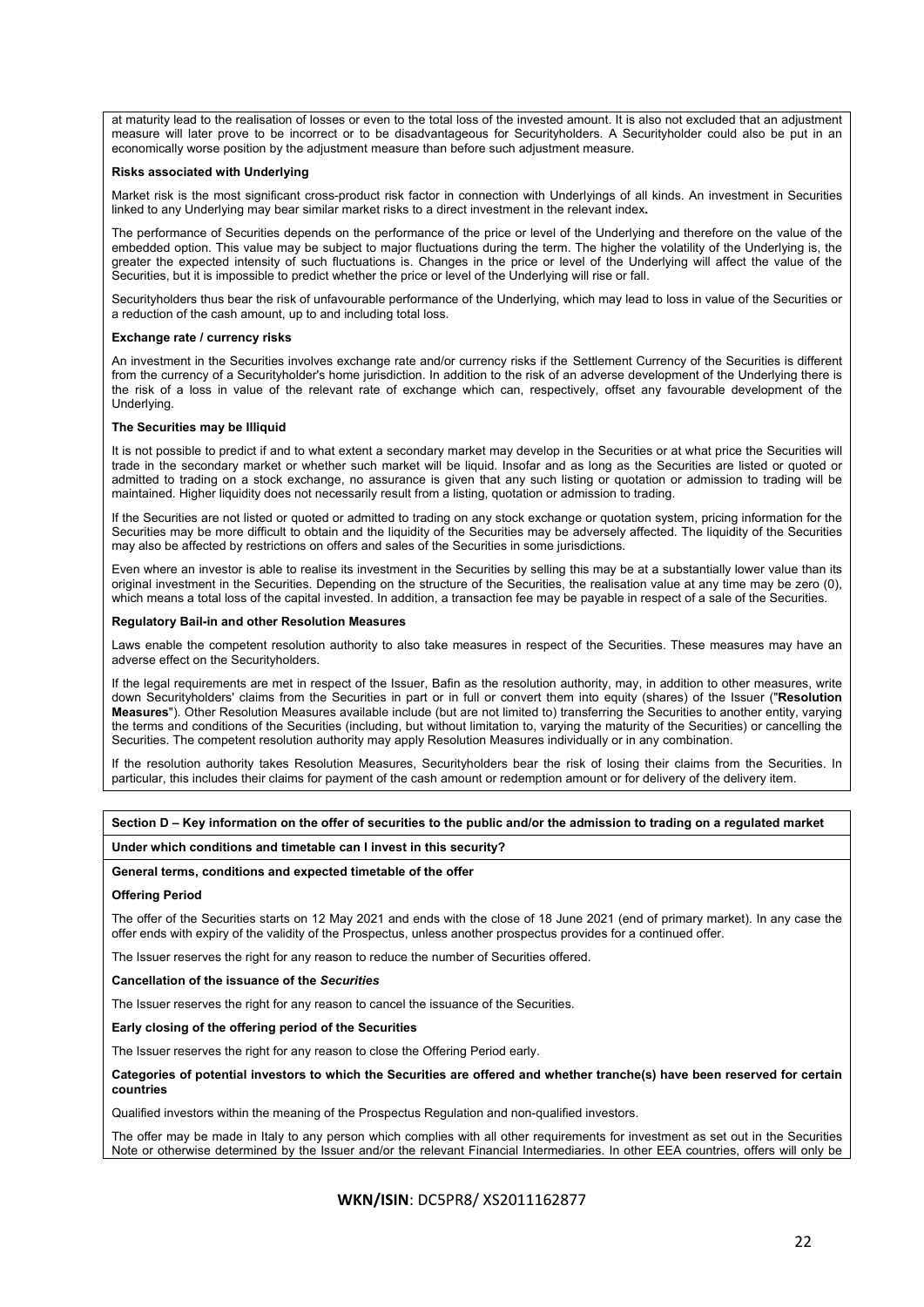at maturity lead to the realisation of losses or even to the total loss of the invested amount. It is also not excluded that an adjustment measure will later prove to be incorrect or to be disadvantageous for Securityholders. A Securityholder could also be put in an economically worse position by the adjustment measure than before such adjustment measure.

#### **Risks associated with Underlying**

Market risk is the most significant cross-product risk factor in connection with Underlyings of all kinds. An investment in Securities linked to any Underlying may bear similar market risks to a direct investment in the relevant index**.**

The performance of Securities depends on the performance of the price or level of the Underlying and therefore on the value of the embedded option. This value may be subject to major fluctuations during the term. The higher the volatility of the Underlying is, the greater the expected intensity of such fluctuations is. Changes in the price or level of the Underlying will affect the value of the Securities, but it is impossible to predict whether the price or level of the Underlying will rise or fall.

Securityholders thus bear the risk of unfavourable performance of the Underlying, which may lead to loss in value of the Securities or a reduction of the cash amount, up to and including total loss.

#### **Exchange rate / currency risks**

An investment in the Securities involves exchange rate and/or currency risks if the Settlement Currency of the Securities is different from the currency of a Securityholder's home jurisdiction. In addition to the risk of an adverse development of the Underlying there is the risk of a loss in value of the relevant rate of exchange which can, respectively, offset any favourable development of the Underlying.

#### **The Securities may be Illiquid**

It is not possible to predict if and to what extent a secondary market may develop in the Securities or at what price the Securities will trade in the secondary market or whether such market will be liquid. Insofar and as long as the Securities are listed or quoted or admitted to trading on a stock exchange, no assurance is given that any such listing or quotation or admission to trading will be maintained. Higher liquidity does not necessarily result from a listing, quotation or admission to trading.

If the Securities are not listed or quoted or admitted to trading on any stock exchange or quotation system, pricing information for the Securities may be more difficult to obtain and the liquidity of the Securities may be adversely affected. The liquidity of the Securities may also be affected by restrictions on offers and sales of the Securities in some jurisdictions.

Even where an investor is able to realise its investment in the Securities by selling this may be at a substantially lower value than its original investment in the Securities. Depending on the structure of the Securities, the realisation value at any time may be zero (0), which means a total loss of the capital invested. In addition, a transaction fee may be payable in respect of a sale of the Securities.

#### **Regulatory Bail-in and other Resolution Measures**

Laws enable the competent resolution authority to also take measures in respect of the Securities. These measures may have an adverse effect on the Securityholders.

If the legal requirements are met in respect of the Issuer, Bafin as the resolution authority, may, in addition to other measures, write down Securityholders' claims from the Securities in part or in full or convert them into equity (shares) of the Issuer ("**Resolution Measures**"). Other Resolution Measures available include (but are not limited to) transferring the Securities to another entity, varying the terms and conditions of the Securities (including, but without limitation to, varying the maturity of the Securities) or cancelling the Securities. The competent resolution authority may apply Resolution Measures individually or in any combination.

If the resolution authority takes Resolution Measures, Securityholders bear the risk of losing their claims from the Securities. In particular, this includes their claims for payment of the cash amount or redemption amount or for delivery of the delivery item.

**Section D – Key information on the offer of securities to the public and/or the admission to trading on a regulated market** 

#### **Under which conditions and timetable can I invest in this security?**

## **General terms, conditions and expected timetable of the offer**

## **Offering Period**

The offer of the Securities starts on 12 May 2021 and ends with the close of 18 June 2021 (end of primary market). In any case the offer ends with expiry of the validity of the Prospectus, unless another prospectus provides for a continued offer.

The Issuer reserves the right for any reason to reduce the number of Securities offered.

**Cancellation of the issuance of the** *Securities*

The Issuer reserves the right for any reason to cancel the issuance of the Securities.

**Early closing of the offering period of the Securities** 

The Issuer reserves the right for any reason to close the Offering Period early.

**Categories of potential investors to which the Securities are offered and whether tranche(s) have been reserved for certain countries** 

Qualified investors within the meaning of the Prospectus Regulation and non-qualified investors.

The offer may be made in Italy to any person which complies with all other requirements for investment as set out in the Securities Note or otherwise determined by the Issuer and/or the relevant Financial Intermediaries. In other EEA countries, offers will only be